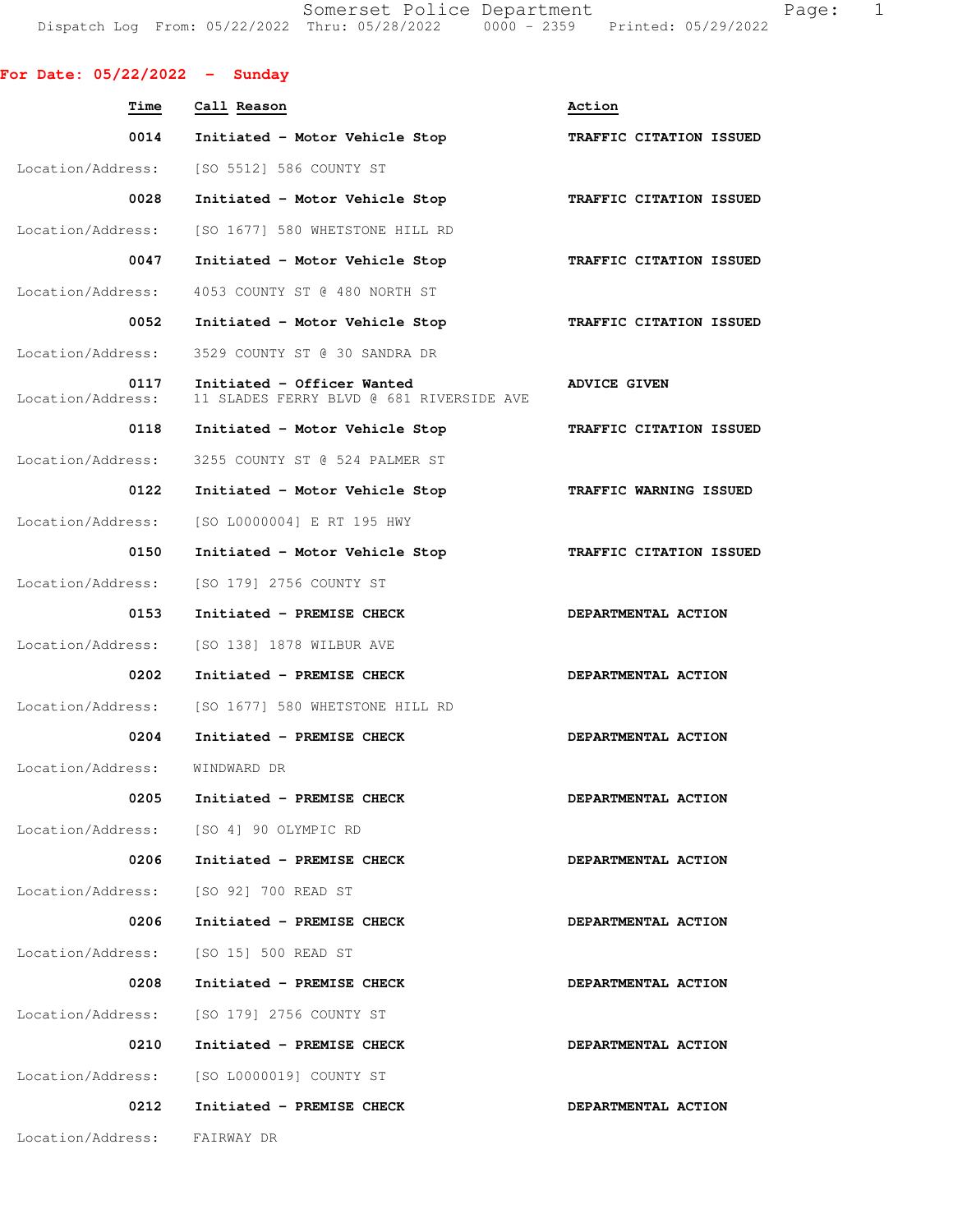Somerset Police Department Fage: 1 Dispatch Log From: 05/22/2022 Thru: 05/28/2022 0000 - 2359 Printed: 05/29/2022

| For Date: $05/22/2022 -$ Sunday |                                                                        |                         |
|---------------------------------|------------------------------------------------------------------------|-------------------------|
| <b>Time</b>                     | Call Reason                                                            | Action                  |
| 0014                            | Initiated - Motor Vehicle Stop                                         | TRAFFIC CITATION ISSUED |
|                                 | Location/Address: [SO 5512] 586 COUNTY ST                              |                         |
| 0028                            | Initiated - Motor Vehicle Stop                                         | TRAFFIC CITATION ISSUED |
| Location/Address:               | [SO 1677] 580 WHETSTONE HILL RD                                        |                         |
| 0047                            | Initiated - Motor Vehicle Stop                                         | TRAFFIC CITATION ISSUED |
| Location/Address:               | 4053 COUNTY ST @ 480 NORTH ST                                          |                         |
| 0052                            | Initiated - Motor Vehicle Stop                                         | TRAFFIC CITATION ISSUED |
| Location/Address:               | 3529 COUNTY ST @ 30 SANDRA DR                                          |                         |
| 0117<br>Location/Address:       | Initiated - Officer Wanted<br>11 SLADES FERRY BLVD @ 681 RIVERSIDE AVE | <b>ADVICE GIVEN</b>     |
| 0118                            | Initiated - Motor Vehicle Stop                                         | TRAFFIC CITATION ISSUED |
| Location/Address:               | 3255 COUNTY ST @ 524 PALMER ST                                         |                         |
| 0122                            | Initiated - Motor Vehicle Stop                                         | TRAFFIC WARNING ISSUED  |
| Location/Address:               | [SO L0000004] E RT 195 HWY                                             |                         |
| 0150                            | Initiated - Motor Vehicle Stop                                         | TRAFFIC CITATION ISSUED |
| Location/Address:               | [SO 179] 2756 COUNTY ST                                                |                         |
| 0153                            | Initiated - PREMISE CHECK                                              | DEPARTMENTAL ACTION     |
| Location/Address:               | [SO 138] 1878 WILBUR AVE                                               |                         |
| 0202                            | Initiated - PREMISE CHECK                                              | DEPARTMENTAL ACTION     |
| Location/Address:               | [SO 1677] 580 WHETSTONE HILL RD                                        |                         |
| 0204                            | Initiated - PREMISE CHECK                                              | DEPARTMENTAL ACTION     |
| Location/Address:               | WINDWARD DR                                                            |                         |
|                                 | 0205 Initiated - PREMISE CHECK                                         | DEPARTMENTAL ACTION     |
|                                 | Location/Address: [SO 4] 90 OLYMPIC RD                                 |                         |
| 0206                            | Initiated - PREMISE CHECK                                              | DEPARTMENTAL ACTION     |
| Location/Address:               | [SO 92] 700 READ ST                                                    |                         |
| 0206                            | Initiated - PREMISE CHECK                                              | DEPARTMENTAL ACTION     |
| Location/Address:               | [SO 15] 500 READ ST                                                    |                         |
| 0208                            | Initiated - PREMISE CHECK                                              | DEPARTMENTAL ACTION     |
|                                 | Location/Address: [SO 179] 2756 COUNTY ST                              |                         |
| 0210                            | Initiated - PREMISE CHECK                                              | DEPARTMENTAL ACTION     |
| Location/Address:               | [SO L0000019] COUNTY ST                                                |                         |
| 0212                            | Initiated - PREMISE CHECK                                              | DEPARTMENTAL ACTION     |
| Location/Address: FAIRWAY DR    |                                                                        |                         |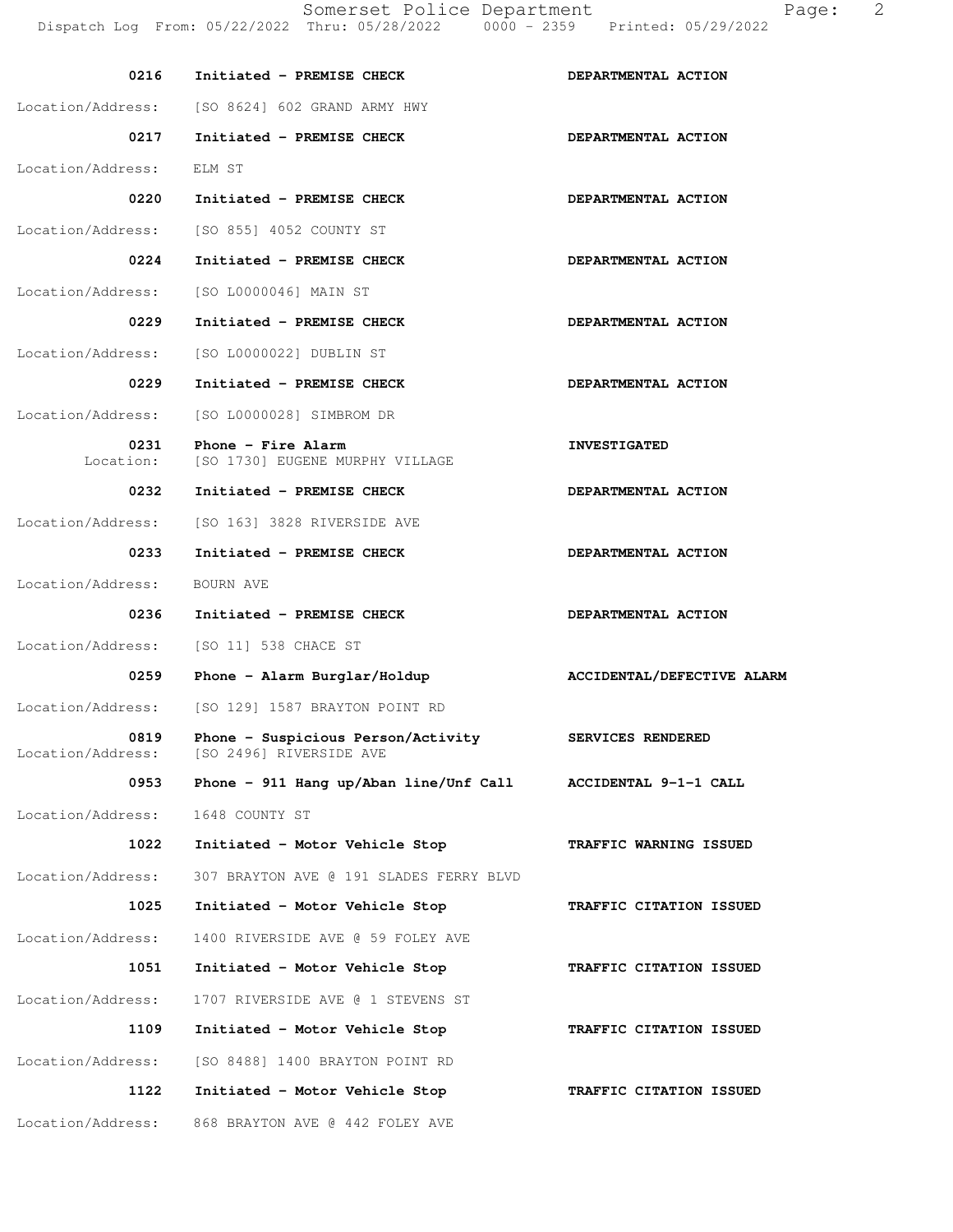| 0216                      | Initiated - PREMISE CHECK                                     | DEPARTMENTAL ACTION        |
|---------------------------|---------------------------------------------------------------|----------------------------|
| Location/Address:         | [SO 8624] 602 GRAND ARMY HWY                                  |                            |
| 0217                      | Initiated - PREMISE CHECK                                     | DEPARTMENTAL ACTION        |
| Location/Address:         | ELM ST                                                        |                            |
| 0220                      | Initiated - PREMISE CHECK                                     | DEPARTMENTAL ACTION        |
| Location/Address:         | [SO 855] 4052 COUNTY ST                                       |                            |
| 0224                      | Initiated - PREMISE CHECK                                     | DEPARTMENTAL ACTION        |
| Location/Address:         | [SO L0000046] MAIN ST                                         |                            |
| 0229                      | Initiated - PREMISE CHECK                                     | DEPARTMENTAL ACTION        |
| Location/Address:         | [SO L0000022] DUBLIN ST                                       |                            |
| 0229                      | Initiated - PREMISE CHECK                                     | DEPARTMENTAL ACTION        |
| Location/Address:         | [SO L0000028] SIMBROM DR                                      |                            |
| 0231<br>Location:         | Phone - Fire Alarm<br>[SO 1730] EUGENE MURPHY VILLAGE         | <b>INVESTIGATED</b>        |
| 0232                      | Initiated - PREMISE CHECK                                     | DEPARTMENTAL ACTION        |
| Location/Address:         | [SO 163] 3828 RIVERSIDE AVE                                   |                            |
| 0233                      | Initiated - PREMISE CHECK                                     | DEPARTMENTAL ACTION        |
| Location/Address:         | BOURN AVE                                                     |                            |
| 0236                      | Initiated - PREMISE CHECK                                     | DEPARTMENTAL ACTION        |
|                           |                                                               |                            |
| Location/Address:         | [SO 11] 538 CHACE ST                                          |                            |
| 0259                      | Phone - Alarm Burglar/Holdup                                  | ACCIDENTAL/DEFECTIVE ALARM |
| Location/Address:         | [SO 129] 1587 BRAYTON POINT RD                                |                            |
| 0819<br>Location/Address: | Phone - Suspicious Person/Activity<br>[SO 2496] RIVERSIDE AVE | SERVICES RENDERED          |
| 0953                      | Phone - 911 Hang up/Aban line/Unf Call ACCIDENTAL 9-1-1 CALL  |                            |
| Location/Address:         | 1648 COUNTY ST                                                |                            |
| 1022                      | Initiated - Motor Vehicle Stop                                | TRAFFIC WARNING ISSUED     |
| Location/Address:         | 307 BRAYTON AVE @ 191 SLADES FERRY BLVD                       |                            |
| 1025                      | Initiated - Motor Vehicle Stop                                | TRAFFIC CITATION ISSUED    |
| Location/Address:         | 1400 RIVERSIDE AVE @ 59 FOLEY AVE                             |                            |
| 1051                      | Initiated - Motor Vehicle Stop                                | TRAFFIC CITATION ISSUED    |
| Location/Address:         | 1707 RIVERSIDE AVE @ 1 STEVENS ST                             |                            |
| 1109                      | Initiated - Motor Vehicle Stop                                | TRAFFIC CITATION ISSUED    |
| Location/Address:         | [SO 8488] 1400 BRAYTON POINT RD                               |                            |
| 1122                      | Initiated - Motor Vehicle Stop                                | TRAFFIC CITATION ISSUED    |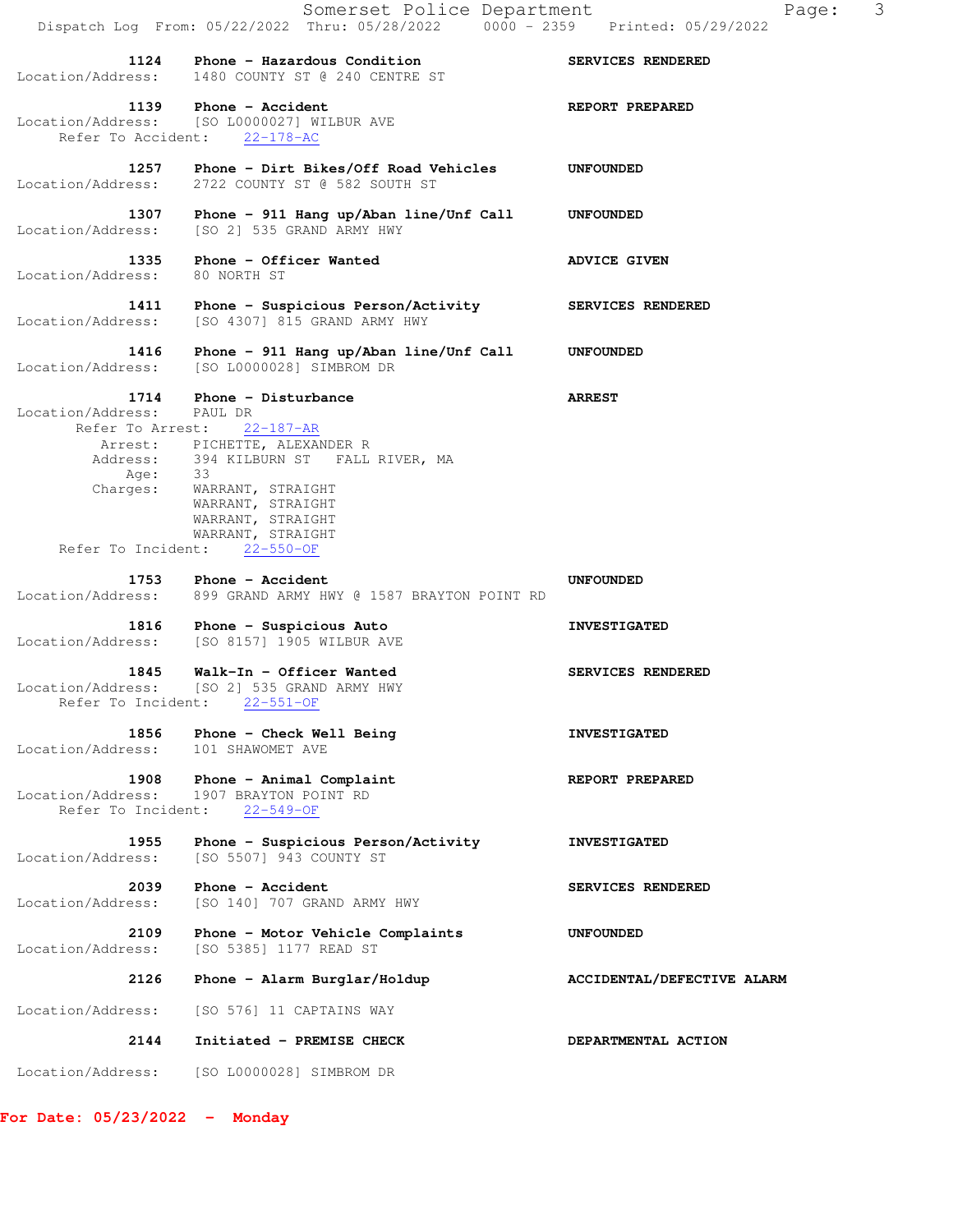Somerset Police Department Page: 3 Dispatch Log From: 05/22/2022 Thru: 05/28/2022 0000 - 2359 Printed: 05/29/2022 1124 Phone - Hazardous Condition **SERVICES RENDERED**  Location/Address: 1480 COUNTY ST @ 240 CENTRE ST **1139** Phone - Accident **REPORT PREPARED**  Location/Address: [SO L0000027] WILBUR AVE Refer To Accident: 22-178-AC  **1257 Phone - Dirt Bikes/Off Road Vehicles UNFOUNDED**  Location/Address: 2722 COUNTY ST @ 582 SOUTH ST  **1307 Phone - 911 Hang up/Aban line/Unf Call UNFOUNDED**  Location/Address: [SO 2] 535 GRAND ARMY HWY 1335 Phone - Officer Wanted **ADVICE GIVEN**  Location/Address: 80 NORTH ST 1411 Phone - Suspicious Person/Activity **SERVICES RENDERED**  Location/Address: [SO 4307] 815 GRAND ARMY HWY  **1416 Phone - 911 Hang up/Aban line/Unf Call UNFOUNDED**  Location/Address: [SO L0000028] SIMBROM DR  **1714 Phone - Disturbance ARREST**  Location/Address: PAUL DR Refer To Arrest: 22-187-AR Arrest: PICHETTE, ALEXANDER R Address: 394 KILBURN ST FALL RIVER, MA Age: 33 Charges: WARRANT, STRAIGHT WARRANT, STRAIGHT WARRANT, STRAIGHT WARRANT, STRAIGHT Refer To Incident: 22-550-OF 1753 Phone - Accident **Internal Accident** UNFOUNDED Location/Address: 899 GRAND ARMY HWY @ 1587 BRAYTON POINT RD 1816 Phone - Suspicious Auto **INVESTIGATED** Location/Address: [SO 8157] 1905 WILBUR AVE 1845 Walk-In - Officer Wanted **SERVICES RENDERED**  Location/Address: [SO 2] 535 GRAND ARMY HWY Refer To Incident: 22-551-OF 1856 Phone - Check Well Being **INVESTIGATED**  Location/Address: 101 SHAWOMET AVE 1908 Phone - Animal Complaint **REPORT PREPARED**  Location/Address: 1907 BRAYTON POINT RD Refer To Incident: 22-549-OF  **1955 Phone - Suspicious Person/Activity INVESTIGATED**  Location/Address: [SO 5507] 943 COUNTY ST **2039 Phone - Accident SERVICES RENDERED**<br>Location/Address: [SO 140] 707 GRAND ARMY HWY [SO 140] 707 GRAND ARMY HWY **2109 Phone - Motor Vehicle Complaints UNFOUNDED** Location/Address: [SO 5385] 1177 READ ST [SO 5385] 1177 READ ST  **2126 Phone - Alarm Burglar/Holdup ACCIDENTAL/DEFECTIVE ALARM**  Location/Address: [SO 576] 11 CAPTAINS WAY  **2144 Initiated - PREMISE CHECK DEPARTMENTAL ACTION**  Location/Address: [SO L0000028] SIMBROM DR

**For Date: 05/23/2022 - Monday**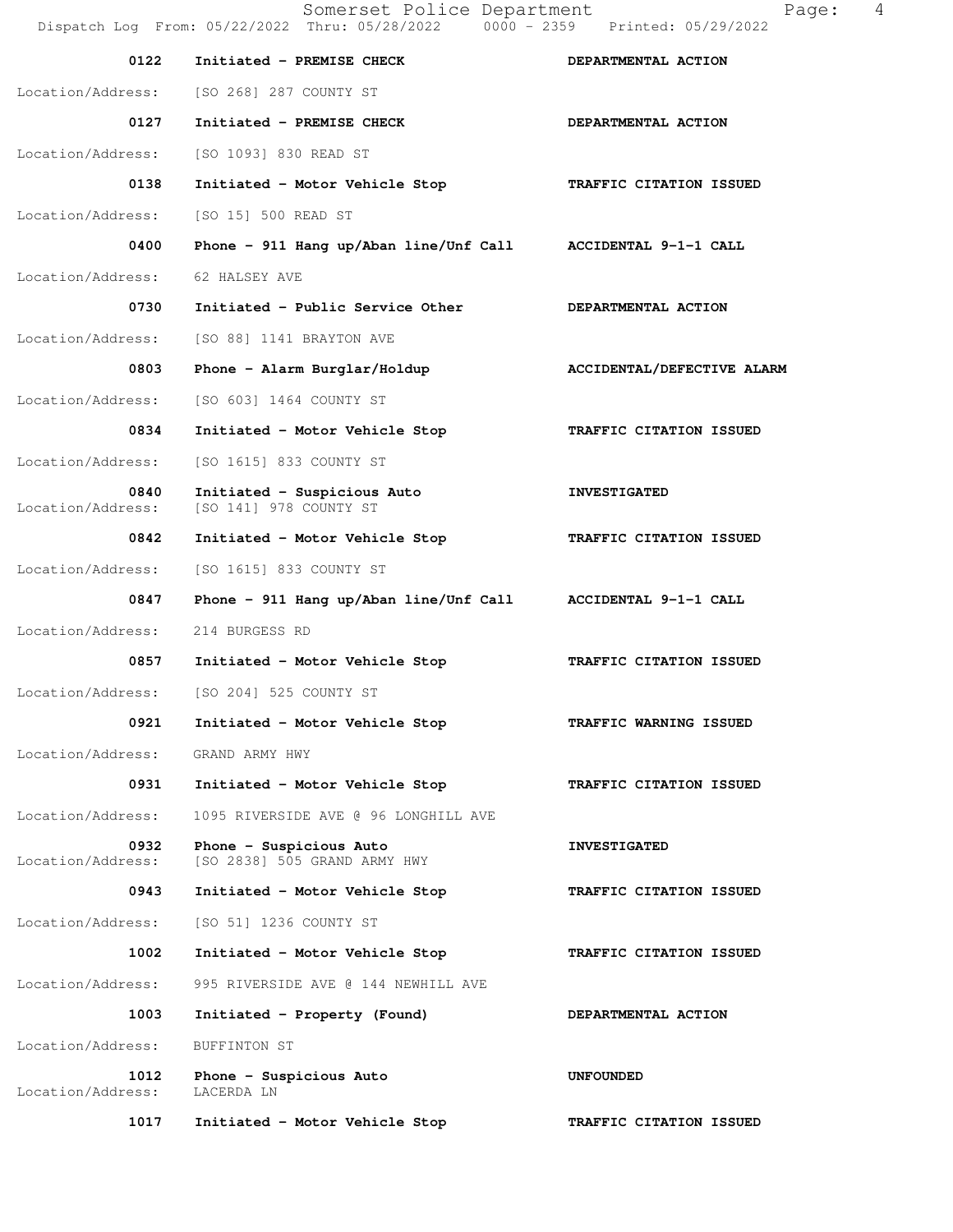Somerset Police Department Page: 4 Dispatch Log From: 05/22/2022 Thru: 05/28/2022 0000 - 2359 Printed: 05/29/2022 0122 Initiated - PREMISE CHECK **DEPARTMENTAL ACTION**  Location/Address: [SO 268] 287 COUNTY ST 0127 Initiated - PREMISE CHECK **DEPARTMENTAL ACTION**  Location/Address: [SO 1093] 830 READ ST  **0138 Initiated - Motor Vehicle Stop TRAFFIC CITATION ISSUED**  Location/Address: [SO 15] 500 READ ST  **0400 Phone - 911 Hang up/Aban line/Unf Call ACCIDENTAL 9-1-1 CALL**  Location/Address: 62 HALSEY AVE 0730 Initiated - Public Service Other **DEPARTMENTAL ACTION**  Location/Address: [SO 88] 1141 BRAYTON AVE 0803 Phone - Alarm Burglar/Holdup **ACCIDENTAL/DEFECTIVE ALARM**  Location/Address: [SO 603] 1464 COUNTY ST  **0834 Initiated - Motor Vehicle Stop TRAFFIC CITATION ISSUED**  Location/Address: [SO 1615] 833 COUNTY ST 0840 Initiated - Suspicious Auto **INVESTIGATED**  Location/Address: [SO 141] 978 COUNTY ST  **0842 Initiated - Motor Vehicle Stop TRAFFIC CITATION ISSUED**  Location/Address: [SO 1615] 833 COUNTY ST  **0847 Phone - 911 Hang up/Aban line/Unf Call ACCIDENTAL 9-1-1 CALL**  Location/Address: 214 BURGESS RD  **0857 Initiated - Motor Vehicle Stop TRAFFIC CITATION ISSUED**  Location/Address: [SO 204] 525 COUNTY ST 0921 Initiated - Motor Vehicle Stop **TRAFFIC WARNING ISSUED**  Location/Address: GRAND ARMY HWY 0931 Initiated - Motor Vehicle Stop **TRAFFIC CITATION ISSUED**  Location/Address: 1095 RIVERSIDE AVE @ 96 LONGHILL AVE 0932 Phone - Suspicious Auto **INVESTIGATED** Location/Address: [SO 2838] 505 GRAND ARMY HWY  **0943 Initiated - Motor Vehicle Stop TRAFFIC CITATION ISSUED**  Location/Address: [SO 51] 1236 COUNTY ST  **1002 Initiated - Motor Vehicle Stop TRAFFIC CITATION ISSUED**  Location/Address: 995 RIVERSIDE AVE @ 144 NEWHILL AVE  **1003 Initiated - Property (Found) DEPARTMENTAL ACTION**  Location/Address: BUFFINTON ST  **1012 Phone - Suspicious Auto UNFOUNDED**  Location/Address: LACERDA LN  **1017 Initiated - Motor Vehicle Stop TRAFFIC CITATION ISSUED**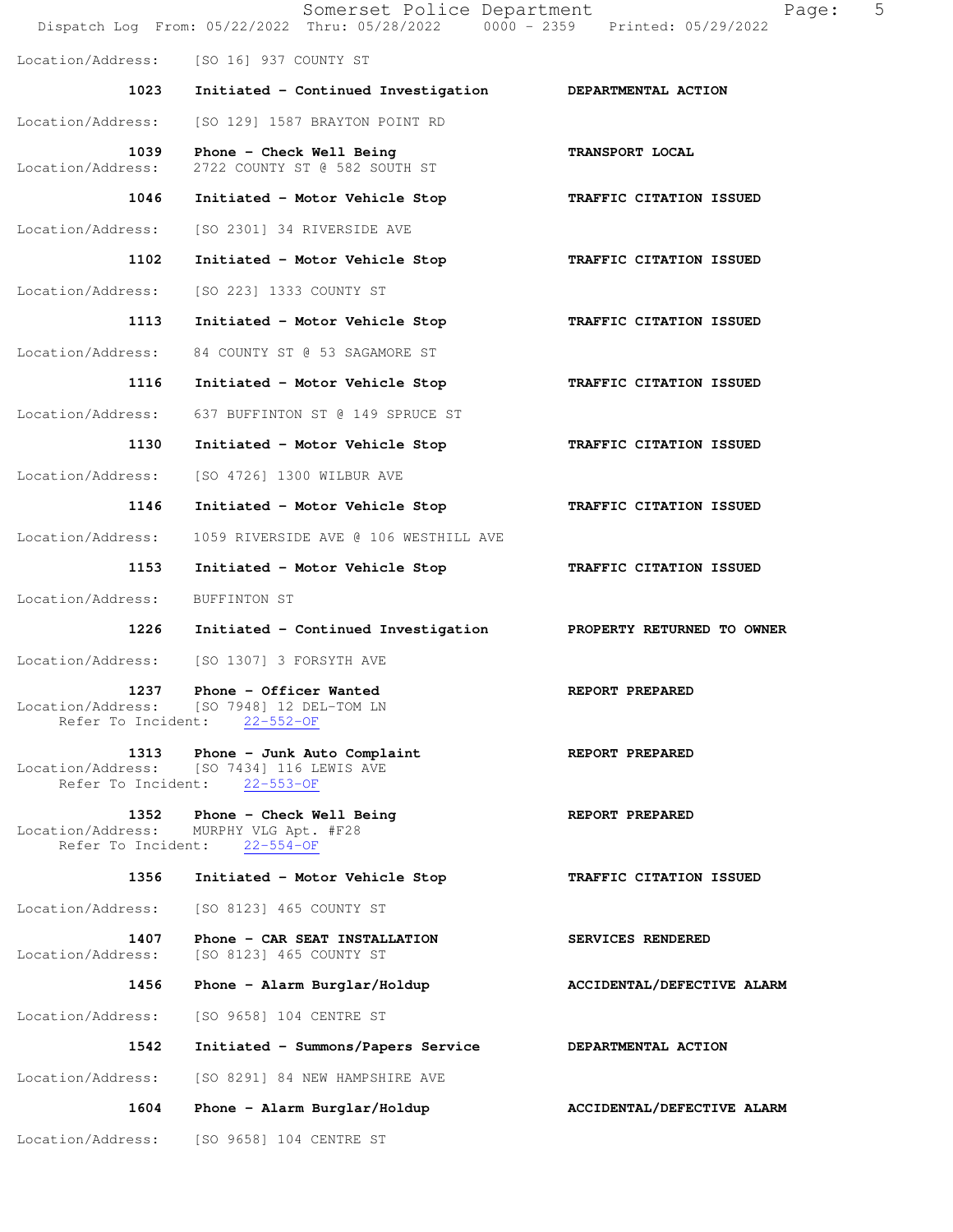|                                                 | Somerset Police Department<br>Dispatch Log From: 05/22/2022 Thru: 05/28/2022 0000 - 2359 Printed: 05/29/2022 | 5<br>Page:                 |
|-------------------------------------------------|--------------------------------------------------------------------------------------------------------------|----------------------------|
| Location/Address:                               | [SO 16] 937 COUNTY ST                                                                                        |                            |
| 1023                                            | Initiated - Continued Investigation DEPARTMENTAL ACTION                                                      |                            |
| Location/Address:                               | [SO 129] 1587 BRAYTON POINT RD                                                                               |                            |
| 1039<br>Location/Address:                       | Phone - Check Well Being<br>2722 COUNTY ST @ 582 SOUTH ST                                                    | TRANSPORT LOCAL            |
| 1046                                            | Initiated - Motor Vehicle Stop                                                                               | TRAFFIC CITATION ISSUED    |
| Location/Address:                               | [SO 2301] 34 RIVERSIDE AVE                                                                                   |                            |
| 1102                                            | Initiated - Motor Vehicle Stop                                                                               | TRAFFIC CITATION ISSUED    |
| Location/Address:                               | [SO 223] 1333 COUNTY ST                                                                                      |                            |
| 1113                                            | Initiated - Motor Vehicle Stop                                                                               | TRAFFIC CITATION ISSUED    |
| Location/Address:                               | 84 COUNTY ST @ 53 SAGAMORE ST                                                                                |                            |
| 1116                                            | Initiated - Motor Vehicle Stop                                                                               | TRAFFIC CITATION ISSUED    |
| Location/Address:                               | 637 BUFFINTON ST @ 149 SPRUCE ST                                                                             |                            |
| 1130                                            | Initiated - Motor Vehicle Stop                                                                               | TRAFFIC CITATION ISSUED    |
| Location/Address:                               | [SO 4726] 1300 WILBUR AVE                                                                                    |                            |
| 1146                                            | Initiated - Motor Vehicle Stop                                                                               | TRAFFIC CITATION ISSUED    |
| Location/Address:                               | 1059 RIVERSIDE AVE @ 106 WESTHILL AVE                                                                        |                            |
| 1153                                            | Initiated - Motor Vehicle Stop                                                                               | TRAFFIC CITATION ISSUED    |
| Location/Address:                               | BUFFINTON ST                                                                                                 |                            |
| 1226                                            | Initiated - Continued Investigation                                                                          | PROPERTY RETURNED TO OWNER |
| Location/Address:                               | [SO 1307] 3 FORSYTH AVE                                                                                      |                            |
| 1237<br>Location/Address:<br>Refer To Incident: | Phone - Officer Wanted<br>[SO 7948] 12 DEL-TOM LN<br>$22 - 552 - 0F$                                         | REPORT PREPARED            |
| 1313                                            | Phone - Junk Auto Complaint<br>Location/Address: [SO 7434] 116 LEWIS AVE<br>Refer To Incident: 22-553-OF     | REPORT PREPARED            |
| 1352<br>Location/Address:<br>Refer To Incident: | Phone - Check Well Being<br>MURPHY VLG Apt. #F28<br>$22 - 554 - 0F$                                          | REPORT PREPARED            |
| 1356                                            | Initiated - Motor Vehicle Stop                                                                               | TRAFFIC CITATION ISSUED    |
| Location/Address:                               | [SO 8123] 465 COUNTY ST                                                                                      |                            |
| 1407<br>Location/Address:                       | Phone - CAR SEAT INSTALLATION<br>[SO 8123] 465 COUNTY ST                                                     | SERVICES RENDERED          |
| 1456                                            | Phone - Alarm Burglar/Holdup                                                                                 | ACCIDENTAL/DEFECTIVE ALARM |
| Location/Address:                               | [SO 9658] 104 CENTRE ST                                                                                      |                            |
| 1542                                            | Initiated - Summons/Papers Service                                                                           | DEPARTMENTAL ACTION        |
| Location/Address:                               | [SO 8291] 84 NEW HAMPSHIRE AVE                                                                               |                            |
| 1604                                            | Phone - Alarm Burglar/Holdup                                                                                 | ACCIDENTAL/DEFECTIVE ALARM |
| Location/Address:                               | [SO 9658] 104 CENTRE ST                                                                                      |                            |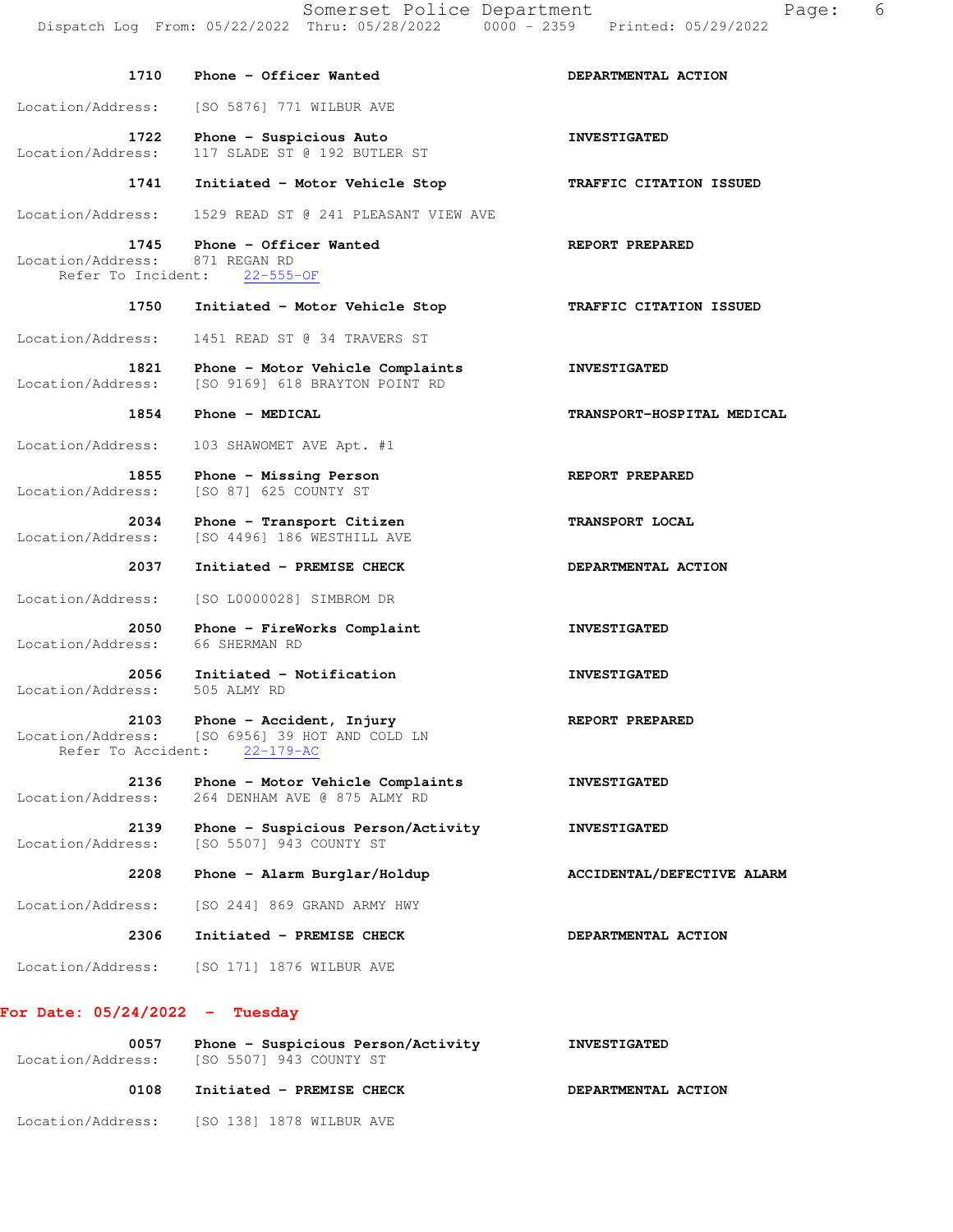**1710 Phone - Officer Wanted DEPARTMENTAL ACTION**  Location/Address: [SO 5876] 771 WILBUR AVE 1722 Phone - Suspicious Auto **INVESTIGATED**  Location/Address: 117 SLADE ST @ 192 BUTLER ST  **1741 Initiated - Motor Vehicle Stop TRAFFIC CITATION ISSUED**  Location/Address: 1529 READ ST @ 241 PLEASANT VIEW AVE  **1745 Phone - Officer Wanted REPORT PREPARED**  Location/Address: 871 REGAN RD Refer To Incident: 22-555-OF  **1750 Initiated - Motor Vehicle Stop TRAFFIC CITATION ISSUED**  Location/Address: 1451 READ ST @ 34 TRAVERS ST  **1821 Phone - Motor Vehicle Complaints INVESTIGATED**  Location/Address: [SO 9169] 618 BRAYTON POINT RD  **1854 Phone - MEDICAL TRANSPORT-HOSPITAL MEDICAL**  Location/Address: 103 SHAWOMET AVE Apt. #1 1855 Phone - Missing Person **REPORT PREPARED**  Location/Address: [SO 87] 625 COUNTY ST 2034 Phone - Transport Citizen **TRANSPORT LOCAL** Location/Address: [SO 4496] 186 WESTHILL AVE  **2037 Initiated - PREMISE CHECK DEPARTMENTAL ACTION**  Location/Address: [SO L0000028] SIMBROM DR 2050 Phone - FireWorks Complaint **INVESTIGATED**  Location/Address: 66 SHERMAN RD  **2056 Initiated - Notification INVESTIGATED**  Location/Address: 505 ALMY RD 2103 Phone - Accident, Injury **REPORT PREPARED** Location/Address: [SO 6956] 39 HOT AND COLD LN Refer To Accident: 22-179-AC  **2136 Phone - Motor Vehicle Complaints INVESTIGATED**  Location/Address: 264 DENHAM AVE @ 875 ALMY RD **2139 Phone - Suspicious Person/Activity 1NVESTIGATED** Location/Address: [SO 5507] 943 COUNTY ST [SO 5507] 943 COUNTY ST  **2208 Phone - Alarm Burglar/Holdup ACCIDENTAL/DEFECTIVE ALARM**  Location/Address: [SO 244] 869 GRAND ARMY HWY  **2306 Initiated - PREMISE CHECK DEPARTMENTAL ACTION**  Location/Address: [SO 171] 1876 WILBUR AVE

#### **For Date: 05/24/2022 - Tuesday**

| 0057<br>Location/Address: | Phone - Suspicious Person/Activity<br>[SO 5507] 943 COUNTY ST | <b>INVESTIGATED</b> |
|---------------------------|---------------------------------------------------------------|---------------------|
| 0108                      | Initiated - PREMISE CHECK                                     | DEPARTMENTAL ACTION |
| Location/Address:         | [SO 138] 1878 WILBUR AVE                                      |                     |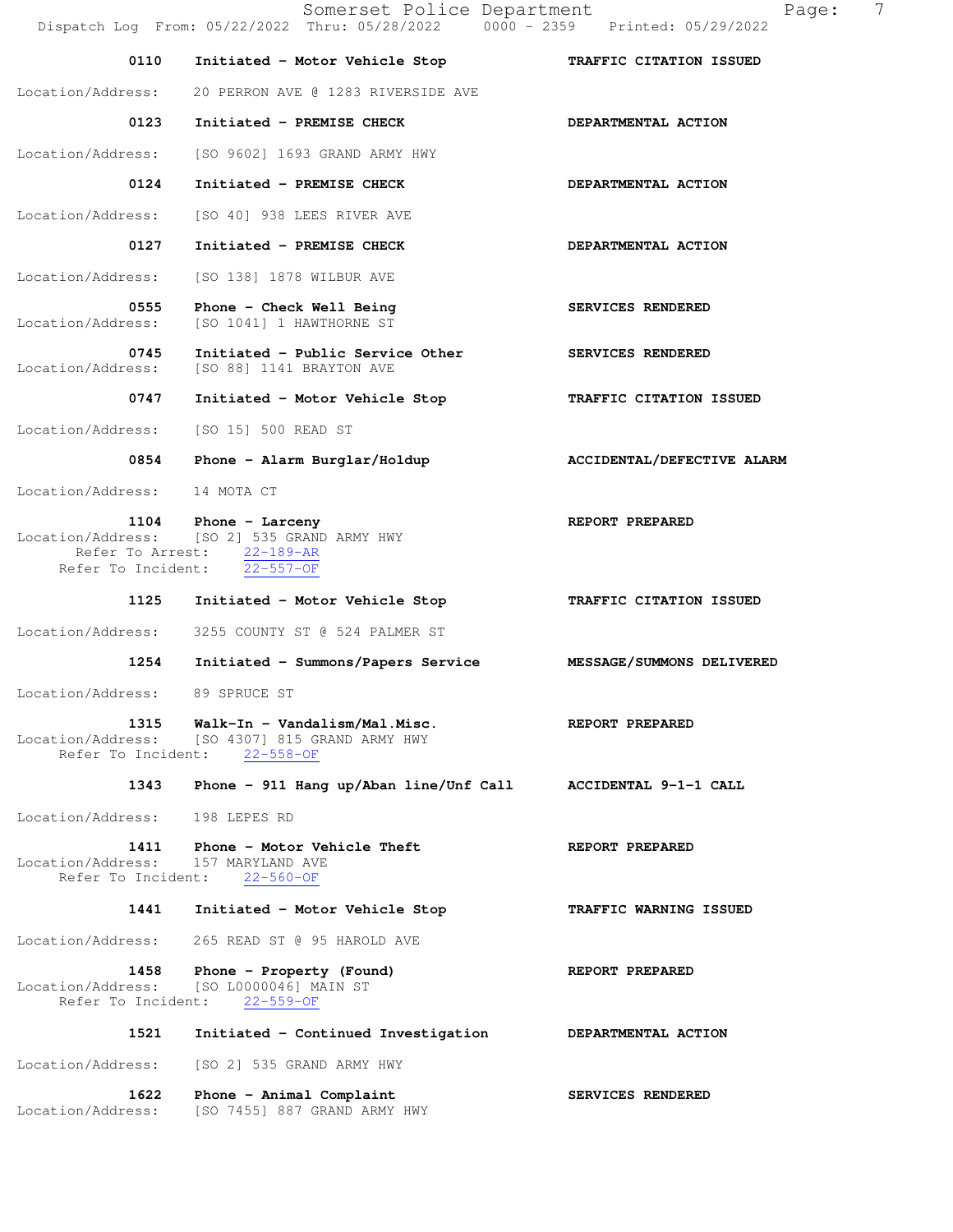Somerset Police Department Page: 7 Dispatch Log From: 05/22/2022 Thru: 05/28/2022 0000 - 2359 Printed: 05/29/2022  **0110 Initiated - Motor Vehicle Stop TRAFFIC CITATION ISSUED**  Location/Address: 20 PERRON AVE @ 1283 RIVERSIDE AVE 0123 Initiated - PREMISE CHECK **DEPARTMENTAL ACTION**  Location/Address: [SO 9602] 1693 GRAND ARMY HWY 0124 Initiated - PREMISE CHECK **DEPARTMENTAL ACTION**  Location/Address: [SO 40] 938 LEES RIVER AVE 0127 Initiated - PREMISE CHECK **DEPARTMENTAL ACTION** Location/Address: [SO 138] 1878 WILBUR AVE 0555 Phone - Check Well Being **SERVICES** RENDERED Location/Address: [SO 1041] 1 HAWTHORNE ST 0745 Initiated - Public Service Other SERVICES RENDERED Location/Address: [SO 88] 1141 BRAYTON AVE  **0747 Initiated - Motor Vehicle Stop TRAFFIC CITATION ISSUED**  Location/Address: [SO 15] 500 READ ST 0854 Phone - Alarm Burglar/Holdup **ACCIDENTAL/DEFECTIVE ALARM**  Location/Address: 14 MOTA CT 1104 Phone - Larceny **REPORT PREPARED** Location/Address: [SO 2] 535 GRAND ARMY HWY Refer To Arrest: 22-189-AR Refer To Incident: 22-557-OF  **1125 Initiated - Motor Vehicle Stop TRAFFIC CITATION ISSUED**  Location/Address: 3255 COUNTY ST @ 524 PALMER ST  **1254 Initiated - Summons/Papers Service MESSAGE/SUMMONS DELIVERED**  Location/Address: 89 SPRUCE ST  **1315 Walk-In - Vandalism/Mal.Misc. REPORT PREPARED**  Location/Address: [SO 4307] 815 GRAND ARMY HWY Refer To Incident: 22-558-OF  **1343 Phone - 911 Hang up/Aban line/Unf Call ACCIDENTAL 9-1-1 CALL**  Location/Address: 198 LEPES RD **1411 Phone - Motor Vehicle Theft BREPORT PREPARED**<br> **REPORT PREPARED**<br> **REPORT PREPARED** Location/Address: Refer To Incident: 22-560-OF  **1441 Initiated - Motor Vehicle Stop TRAFFIC WARNING ISSUED**  Location/Address: 265 READ ST @ 95 HAROLD AVE  **1458 Phone - Property (Found) REPORT PREPARED**  Location/Address: [SO L0000046] MAIN ST Refer To Incident: 22-559-OF  **1521 Initiated - Continued Investigation DEPARTMENTAL ACTION**  Location/Address: [SO 2] 535 GRAND ARMY HWY 1622 Phone - Animal Complaint **SERVICES RENDERED** 

Location/Address: [SO 7455] 887 GRAND ARMY HWY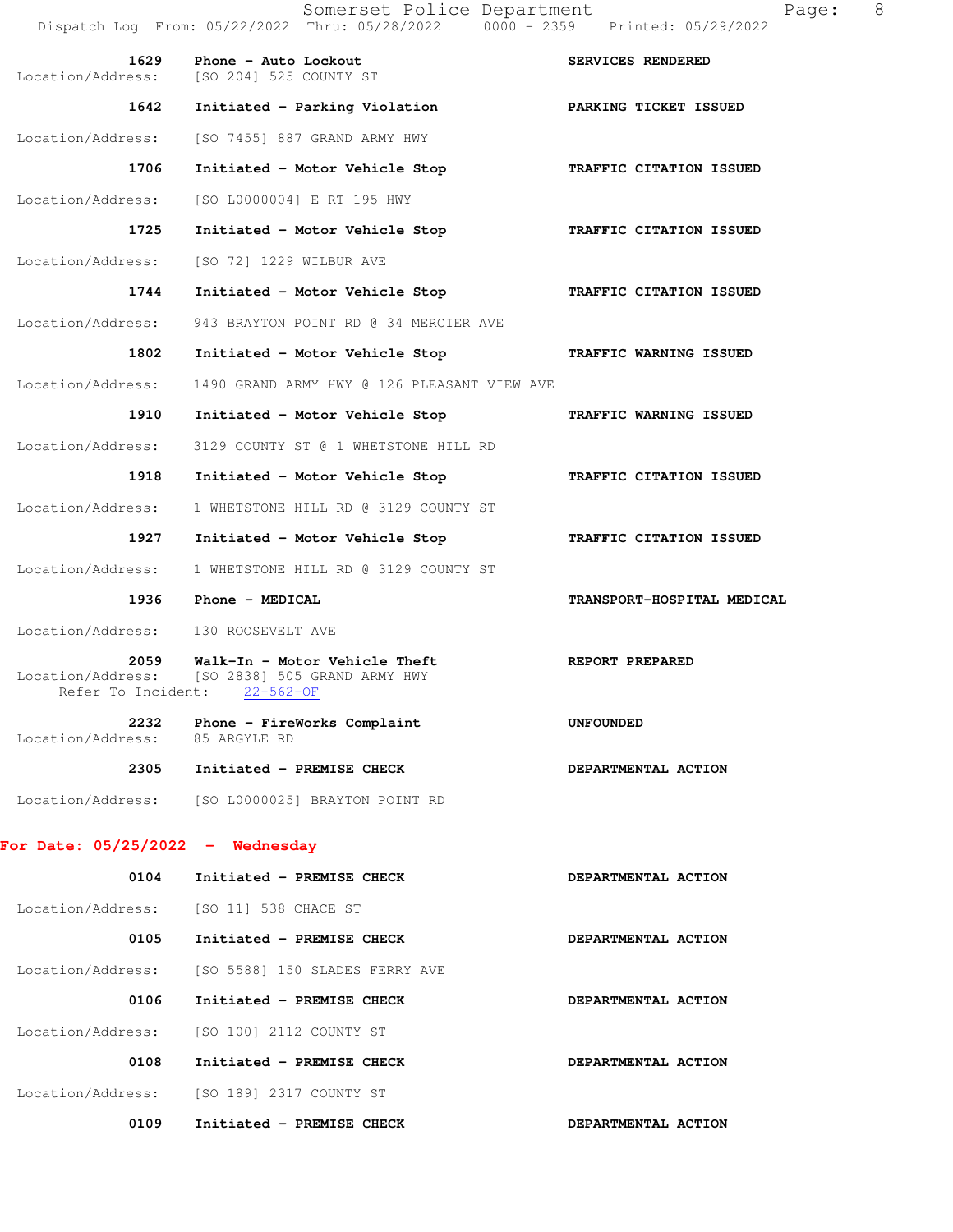|                                    | Somerset Police Department<br>Dispatch Log From: 05/22/2022 Thru: 05/28/2022 0000 - 2359 Printed: 05/29/2022 | 8<br>Page:                 |
|------------------------------------|--------------------------------------------------------------------------------------------------------------|----------------------------|
| 1629<br>Location/Address:          | Phone - Auto Lockout<br>[SO 204] 525 COUNTY ST                                                               | SERVICES RENDERED          |
| 1642                               | Initiated - Parking Violation ARKING TICKET ISSUED                                                           |                            |
| Location/Address:                  | [SO 7455] 887 GRAND ARMY HWY                                                                                 |                            |
| 1706                               | Initiated - Motor Vehicle Stop                                                                               | TRAFFIC CITATION ISSUED    |
| Location/Address:                  | [SO L0000004] E RT 195 HWY                                                                                   |                            |
| 1725                               | Initiated - Motor Vehicle Stop TRAFFIC CITATION ISSUED                                                       |                            |
| Location/Address:                  | [SO 72] 1229 WILBUR AVE                                                                                      |                            |
| 1744                               | Initiated - Motor Vehicle Stop                                                                               | TRAFFIC CITATION ISSUED    |
| Location/Address:                  | 943 BRAYTON POINT RD @ 34 MERCIER AVE                                                                        |                            |
| 1802                               | Initiated - Motor Vehicle Stop                                                                               | TRAFFIC WARNING ISSUED     |
| Location/Address:                  | 1490 GRAND ARMY HWY @ 126 PLEASANT VIEW AVE                                                                  |                            |
| 1910                               | Initiated - Motor Vehicle Stop                                                                               | TRAFFIC WARNING ISSUED     |
| Location/Address:                  | 3129 COUNTY ST @ 1 WHETSTONE HILL RD                                                                         |                            |
| 1918                               | Initiated - Motor Vehicle Stop                                                                               | TRAFFIC CITATION ISSUED    |
| Location/Address:                  | 1 WHETSTONE HILL RD @ 3129 COUNTY ST                                                                         |                            |
| 1927                               | Initiated - Motor Vehicle Stop                                                                               | TRAFFIC CITATION ISSUED    |
| Location/Address:                  | 1 WHETSTONE HILL RD @ 3129 COUNTY ST                                                                         |                            |
| 1936                               | Phone - MEDICAL                                                                                              | TRANSPORT-HOSPITAL MEDICAL |
| Location/Address:                  | 130 ROOSEVELT AVE                                                                                            |                            |
| 2059<br>Refer To Incident:         | Walk-In - Motor Vehicle Theft<br>Location/Address: [SO 2838] 505 GRAND ARMY HWY<br>$22 - 562 - 0F$           | REPORT PREPARED            |
| Location/Address: 85 ARGYLE RD     | 2232 Phone - FireWorks Complaint                                                                             | <b>UNFOUNDED</b>           |
|                                    | 2305 Initiated - PREMISE CHECK                                                                               | DEPARTMENTAL ACTION        |
|                                    | Location/Address: [SO L0000025] BRAYTON POINT RD                                                             |                            |
| For Date: $05/25/2022 -$ Wednesday |                                                                                                              |                            |
| 0104                               | Initiated - PREMISE CHECK                                                                                    | DEPARTMENTAL ACTION        |
|                                    | Location/Address: [SO 11] 538 CHACE ST                                                                       |                            |
| 0105                               | Initiated - PREMISE CHECK                                                                                    | DEPARTMENTAL ACTION        |
| Location/Address:                  | [SO 5588] 150 SLADES FERRY AVE                                                                               |                            |
| 0106                               | Initiated - PREMISE CHECK                                                                                    | DEPARTMENTAL ACTION        |
| Location/Address:                  | [SO 100] 2112 COUNTY ST                                                                                      |                            |
| 0108                               | Initiated - PREMISE CHECK                                                                                    | DEPARTMENTAL ACTION        |
|                                    | Location/Address: [SO 189] 2317 COUNTY ST                                                                    |                            |
| 0109                               | Initiated - PREMISE CHECK                                                                                    | DEPARTMENTAL ACTION        |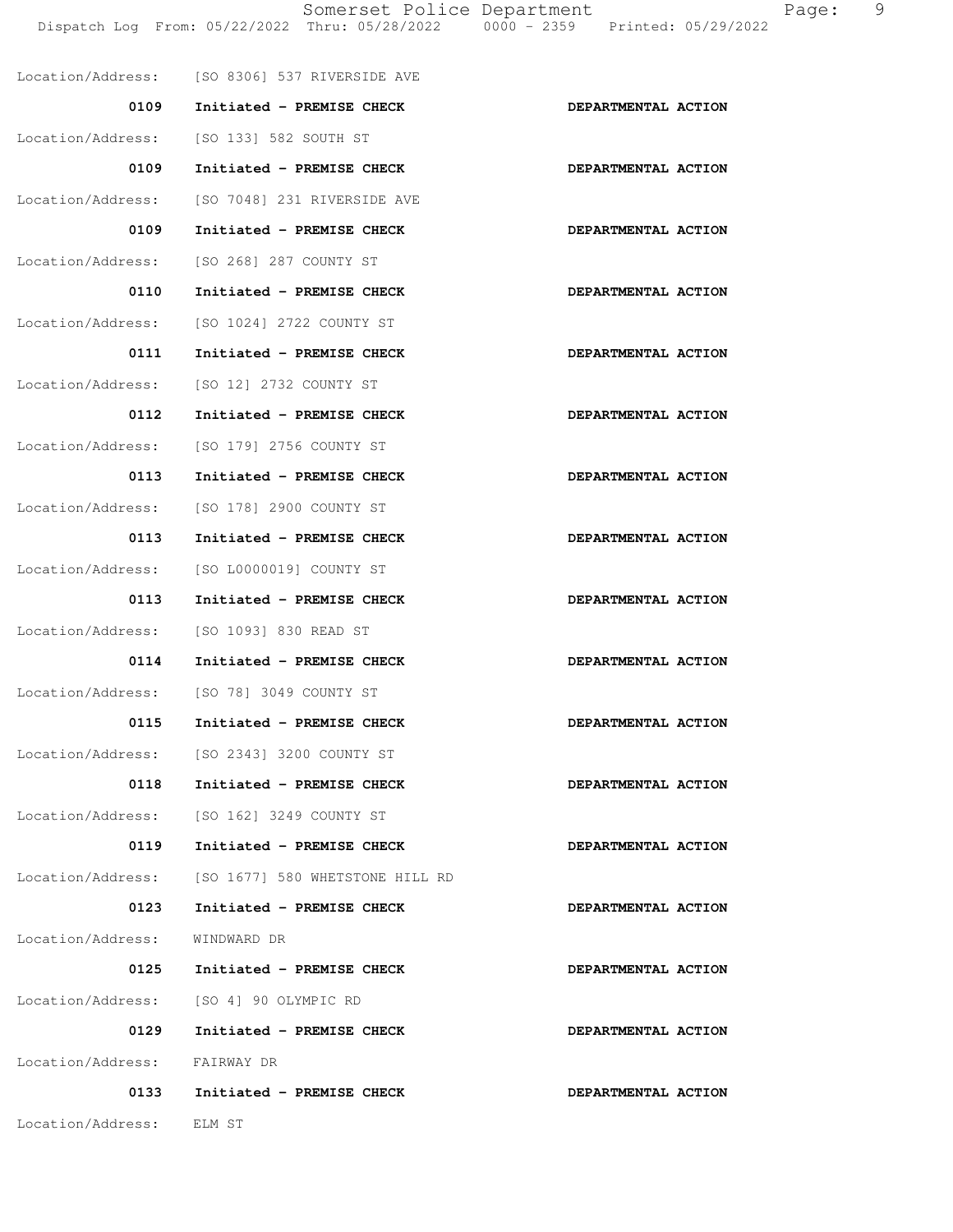Somerset Police Department Fage: 9 Dispatch Log From: 05/22/2022 Thru: 05/28/2022 0000 - 2359 Printed: 05/29/2022

|                              | Location/Address: [SO 8306] 537 RIVERSIDE AVE     |                     |
|------------------------------|---------------------------------------------------|---------------------|
| 0109                         | Initiated - PREMISE CHECK                         | DEPARTMENTAL ACTION |
| Location/Address:            | [SO 133] 582 SOUTH ST                             |                     |
| 0109                         | Initiated - PREMISE CHECK                         | DEPARTMENTAL ACTION |
| Location/Address:            | [SO 7048] 231 RIVERSIDE AVE                       |                     |
| 0109                         | Initiated - PREMISE CHECK                         | DEPARTMENTAL ACTION |
| Location/Address:            | [SO 268] 287 COUNTY ST                            |                     |
| 0110                         | Initiated - PREMISE CHECK                         | DEPARTMENTAL ACTION |
|                              | Location/Address: [SO 1024] 2722 COUNTY ST        |                     |
| 0111                         | Initiated - PREMISE CHECK                         | DEPARTMENTAL ACTION |
| Location/Address:            | [SO 12] 2732 COUNTY ST                            |                     |
| 0112                         | Initiated - PREMISE CHECK                         | DEPARTMENTAL ACTION |
|                              | Location/Address: [SO 179] 2756 COUNTY ST         |                     |
| 0113                         | Initiated - PREMISE CHECK                         | DEPARTMENTAL ACTION |
| Location/Address:            | [SO 178] 2900 COUNTY ST                           |                     |
| 0113                         | Initiated - PREMISE CHECK                         | DEPARTMENTAL ACTION |
| Location/Address:            | [SO L0000019] COUNTY ST                           |                     |
| 0113                         | Initiated - PREMISE CHECK                         | DEPARTMENTAL ACTION |
|                              | Location/Address: [SO 1093] 830 READ ST           |                     |
| 0114                         | Initiated - PREMISE CHECK                         | DEPARTMENTAL ACTION |
|                              | Location/Address: [SO 78] 3049 COUNTY ST          |                     |
| 0115                         | Initiated - PREMISE CHECK                         | DEPARTMENTAL ACTION |
|                              | Location/Address: [SO 2343] 3200 COUNTY ST        |                     |
| 0118                         | Initiated - PREMISE CHECK                         | DEPARTMENTAL ACTION |
|                              | Location/Address: [SO 162] 3249 COUNTY ST         |                     |
| 0119                         | Initiated - PREMISE CHECK                         | DEPARTMENTAL ACTION |
|                              | Location/Address: [SO 1677] 580 WHETSTONE HILL RD |                     |
| 0123                         | Initiated - PREMISE CHECK                         | DEPARTMENTAL ACTION |
| Location/Address:            | WINDWARD DR                                       |                     |
| 0125                         | Initiated - PREMISE CHECK                         | DEPARTMENTAL ACTION |
|                              | Location/Address: [SO 4] 90 OLYMPIC RD            |                     |
| 0129                         | Initiated - PREMISE CHECK                         | DEPARTMENTAL ACTION |
| Location/Address: FAIRWAY DR |                                                   |                     |
| 0133                         | Initiated - PREMISE CHECK                         | DEPARTMENTAL ACTION |
| Location/Address:            | ELM ST                                            |                     |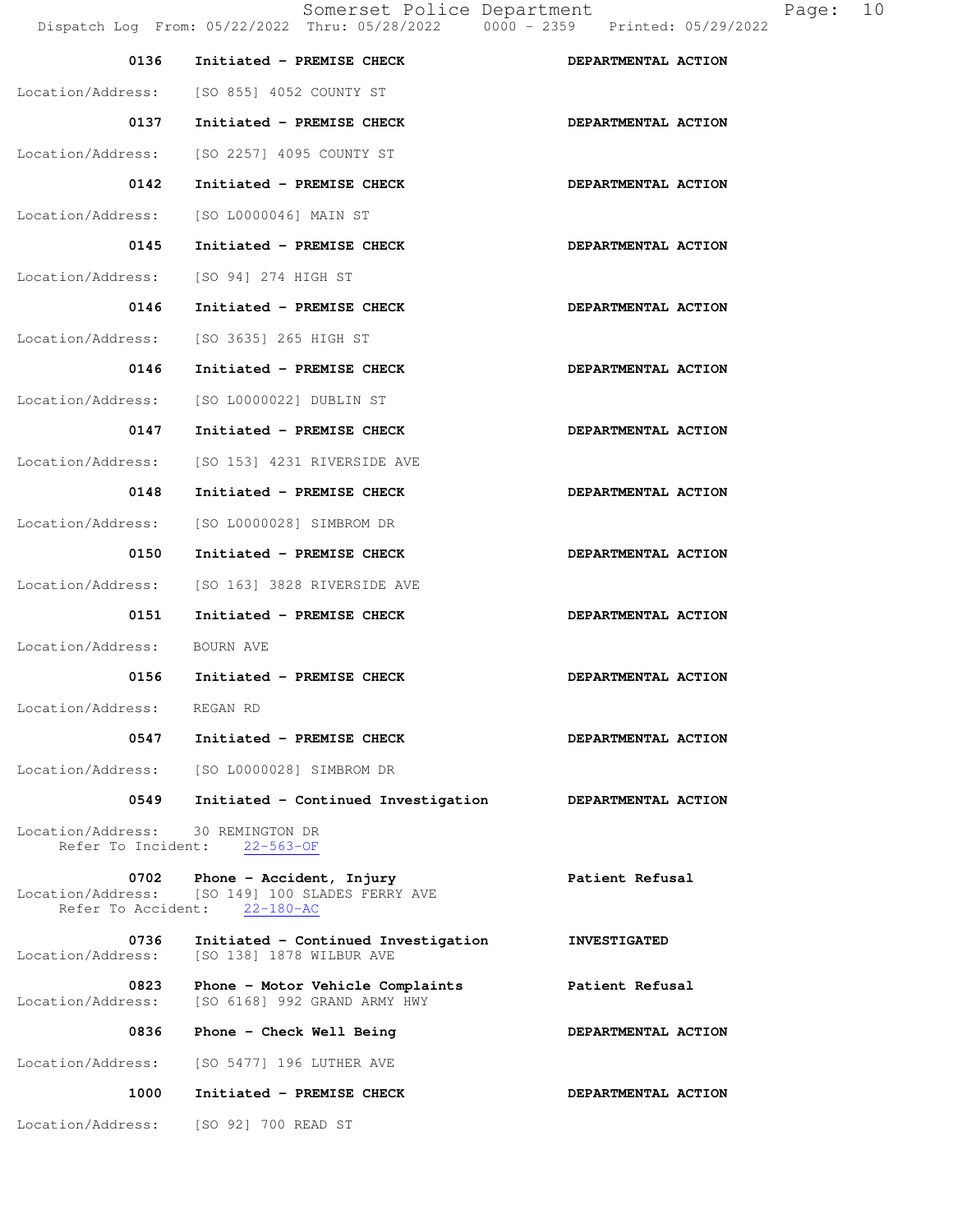| 0136                                            | Initiated - PREMISE CHECK                                                    | DEPARTMENTAL ACTION |
|-------------------------------------------------|------------------------------------------------------------------------------|---------------------|
|                                                 | Location/Address: [SO 855] 4052 COUNTY ST                                    |                     |
| 0137                                            | Initiated - PREMISE CHECK                                                    | DEPARTMENTAL ACTION |
| Location/Address:                               | [SO 2257] 4095 COUNTY ST                                                     |                     |
| 0142                                            | Initiated - PREMISE CHECK                                                    | DEPARTMENTAL ACTION |
| Location/Address:                               | [SO L0000046] MAIN ST                                                        |                     |
| 0145                                            | Initiated - PREMISE CHECK                                                    | DEPARTMENTAL ACTION |
| Location/Address:                               | [SO 94] 274 HIGH ST                                                          |                     |
| 0146                                            | Initiated - PREMISE CHECK                                                    | DEPARTMENTAL ACTION |
|                                                 | Location/Address: [SO 3635] 265 HIGH ST                                      |                     |
| 0146                                            | Initiated - PREMISE CHECK                                                    | DEPARTMENTAL ACTION |
| Location/Address:                               | [SO L0000022] DUBLIN ST                                                      |                     |
| 0147                                            | Initiated - PREMISE CHECK                                                    | DEPARTMENTAL ACTION |
| Location/Address:                               | [SO 153] 4231 RIVERSIDE AVE                                                  |                     |
| 0148                                            | Initiated - PREMISE CHECK                                                    | DEPARTMENTAL ACTION |
| Location/Address:                               | [SO L0000028] SIMBROM DR                                                     |                     |
| 0150                                            | Initiated - PREMISE CHECK                                                    | DEPARTMENTAL ACTION |
| Location/Address:                               | [SO 163] 3828 RIVERSIDE AVE                                                  |                     |
| 0151                                            | Initiated - PREMISE CHECK                                                    | DEPARTMENTAL ACTION |
| Location/Address:                               | BOURN AVE                                                                    |                     |
| 0156                                            | Initiated - PREMISE CHECK                                                    | DEPARTMENTAL ACTION |
| Location/Address: REGAN RD                      |                                                                              |                     |
| 0547                                            | Initiated - PREMISE CHECK                                                    | DEPARTMENTAL ACTION |
|                                                 | Location/Address: [SO L0000028] SIMBROM DR                                   |                     |
| 0549                                            | Initiated - Continued Investigation                                          | DEPARTMENTAL ACTION |
| Location/Address:                               | 30 REMINGTON DR<br>Refer To Incident: 22-563-OF                              |                     |
| 0702<br>Location/Address:<br>Refer To Accident: | Phone - Accident, Injury<br>[SO 149] 100 SLADES FERRY AVE<br>$22 - 180 - AC$ | Patient Refusal     |
| 0736<br>Location/Address:                       | Initiated - Continued Investigation<br>[SO 138] 1878 WILBUR AVE              | <b>INVESTIGATED</b> |
| 0823<br>Location/Address:                       | Phone - Motor Vehicle Complaints<br>[SO 6168] 992 GRAND ARMY HWY             | Patient Refusal     |
| 0836                                            | Phone - Check Well Being                                                     | DEPARTMENTAL ACTION |
| Location/Address:                               | [SO 5477] 196 LUTHER AVE                                                     |                     |
| 1000                                            | Initiated - PREMISE CHECK                                                    | DEPARTMENTAL ACTION |
| Location/Address:                               | [SO 92] 700 READ ST                                                          |                     |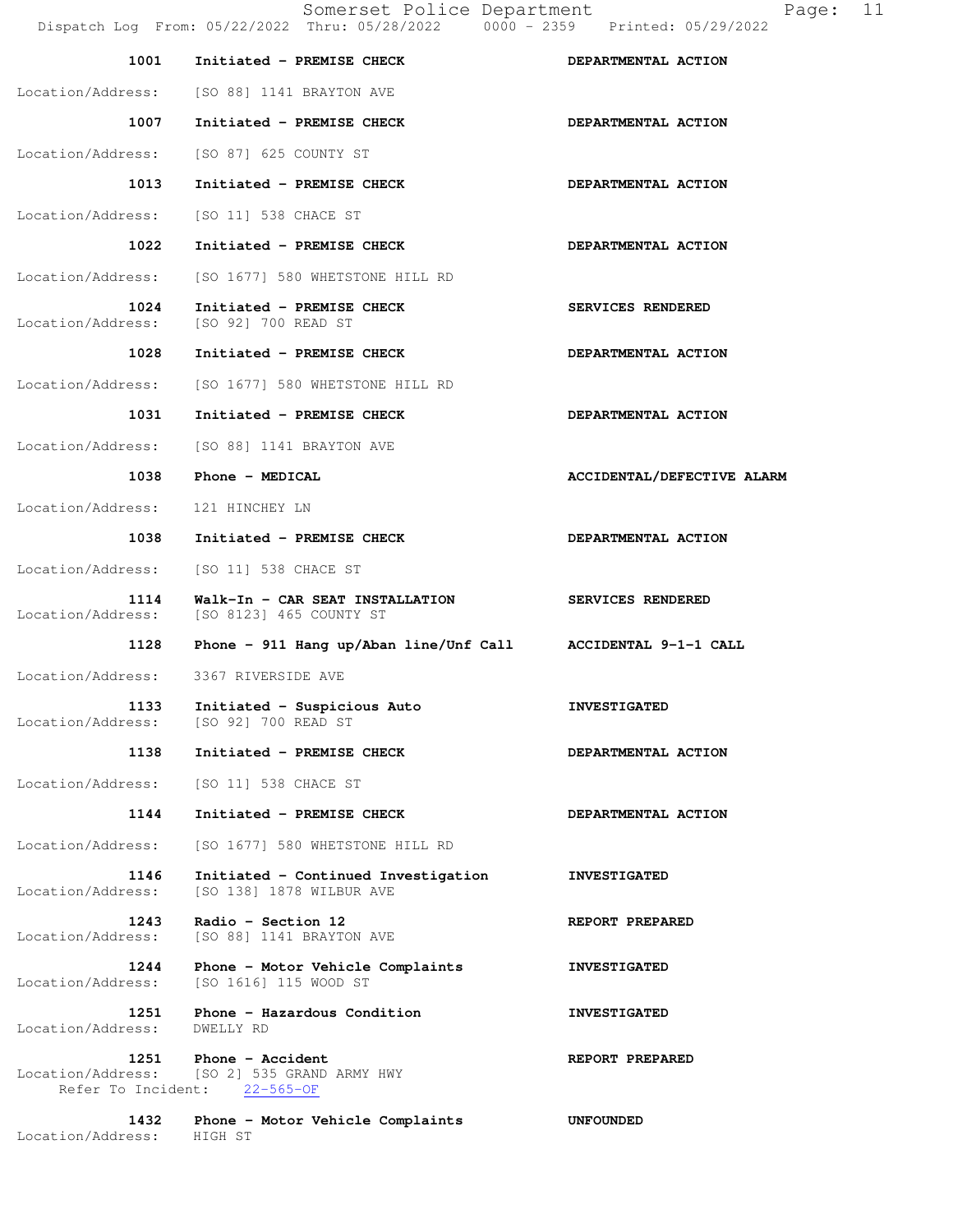|                           | Somerset Police Department<br>Dispatch Log From: 05/22/2022 Thru: 05/28/2022 0000 - 2359 Printed: 05/29/2022 | 11<br>Page:                |
|---------------------------|--------------------------------------------------------------------------------------------------------------|----------------------------|
| 1001                      | Initiated - PREMISE CHECK                                                                                    | DEPARTMENTAL ACTION        |
|                           | Location/Address: [SO 88] 1141 BRAYTON AVE                                                                   |                            |
| 1007                      | Initiated - PREMISE CHECK                                                                                    | DEPARTMENTAL ACTION        |
| Location/Address:         | [SO 87] 625 COUNTY ST                                                                                        |                            |
| 1013                      | Initiated - PREMISE CHECK                                                                                    | DEPARTMENTAL ACTION        |
| Location/Address:         | [SO 11] 538 CHACE ST                                                                                         |                            |
| 1022                      | Initiated - PREMISE CHECK                                                                                    | DEPARTMENTAL ACTION        |
| Location/Address:         | [SO 1677] 580 WHETSTONE HILL RD                                                                              |                            |
| 1024<br>Location/Address: | Initiated - PREMISE CHECK<br>[SO 92] 700 READ ST                                                             | SERVICES RENDERED          |
| 1028                      | Initiated - PREMISE CHECK                                                                                    | DEPARTMENTAL ACTION        |
| Location/Address:         | [SO 1677] 580 WHETSTONE HILL RD                                                                              |                            |
| 1031                      | Initiated - PREMISE CHECK                                                                                    | DEPARTMENTAL ACTION        |
| Location/Address:         | [SO 88] 1141 BRAYTON AVE                                                                                     |                            |
| 1038                      | Phone - MEDICAL                                                                                              | ACCIDENTAL/DEFECTIVE ALARM |
| Location/Address:         | 121 HINCHEY LN                                                                                               |                            |
| 1038                      | Initiated - PREMISE CHECK                                                                                    | DEPARTMENTAL ACTION        |
| Location/Address:         | [SO 11] 538 CHACE ST                                                                                         |                            |
| 1114<br>Location/Address: | Walk-In - CAR SEAT INSTALLATION<br>[SO 8123] 465 COUNTY ST                                                   | SERVICES RENDERED          |
| 1128                      | Phone - 911 Hang up/Aban line/Unf Call ACCIDENTAL 9-1-1 CALL                                                 |                            |
| Location/Address:         | 3367 RIVERSIDE AVE                                                                                           |                            |
| 1133<br>Location/Address: | Initiated - Suspicious Auto<br>[SO 92] 700 READ ST                                                           | <b>INVESTIGATED</b>        |
| 1138                      | Initiated - PREMISE CHECK                                                                                    | DEPARTMENTAL ACTION        |
| Location/Address:         | [SO 11] 538 CHACE ST                                                                                         |                            |
| 1144                      | Initiated - PREMISE CHECK                                                                                    | DEPARTMENTAL ACTION        |
| Location/Address:         | [SO 1677] 580 WHETSTONE HILL RD                                                                              |                            |
| 1146<br>Location/Address: | Initiated - Continued Investigation<br>[SO 138] 1878 WILBUR AVE                                              | <b>INVESTIGATED</b>        |
| 1243<br>Location/Address: | Radio - Section 12<br>[SO 88] 1141 BRAYTON AVE                                                               | REPORT PREPARED            |
| 1244<br>Location/Address: | Phone - Motor Vehicle Complaints<br>[SO 1616] 115 WOOD ST                                                    | <b>INVESTIGATED</b>        |
| 1251<br>Location/Address: | Phone - Hazardous Condition<br>DWELLY RD                                                                     | <b>INVESTIGATED</b>        |
| 1251<br>Location/Address: | Phone - Accident<br>[SO 2] 535 GRAND ARMY HWY<br>Refer To Incident: 22-565-OF                                | REPORT PREPARED            |
| 1432<br>Location/Address: | Phone - Motor Vehicle Complaints<br>HIGH ST                                                                  | <b>UNFOUNDED</b>           |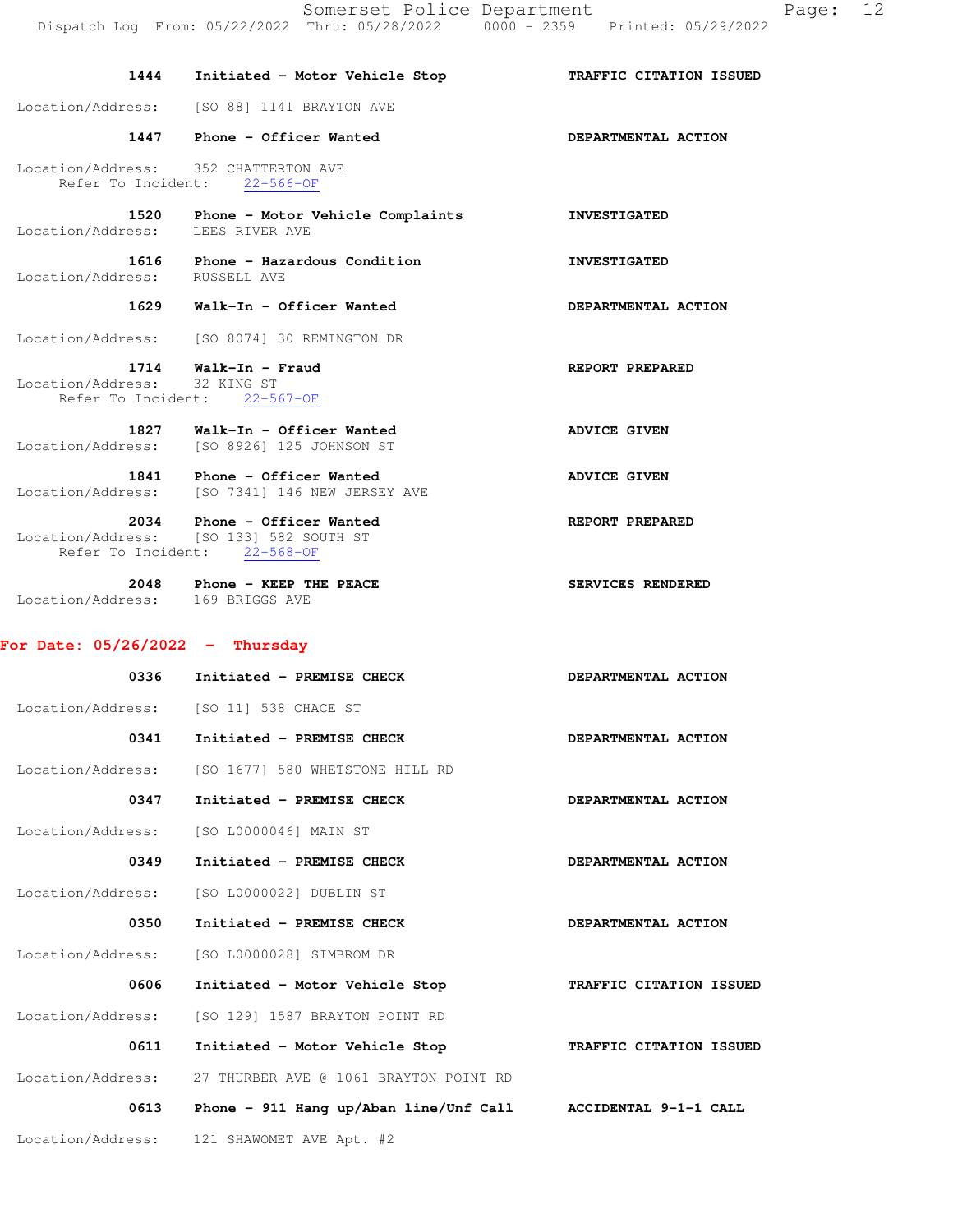| 1444                                     | Initiated - Motor Vehicle Stop                                                                         | TRAFFIC CITATION ISSUED |
|------------------------------------------|--------------------------------------------------------------------------------------------------------|-------------------------|
|                                          | Location/Address: [SO 88] 1141 BRAYTON AVE                                                             |                         |
|                                          | 1447 Phone - Officer Wanted                                                                            | DEPARTMENTAL ACTION     |
|                                          | Location/Address: 352 CHATTERTON AVE<br>Refer To Incident: 22-566-OF                                   |                         |
| 1520<br>Location/Address: LEES RIVER AVE | Phone - Motor Vehicle Complaints                                                                       | <b>INVESTIGATED</b>     |
| Location/Address: RUSSELL AVE            | 1616 Phone - Hazardous Condition                                                                       | <b>INVESTIGATED</b>     |
|                                          | 1629 Walk-In - Officer Wanted                                                                          | DEPARTMENTAL ACTION     |
|                                          | Location/Address: [SO 8074] 30 REMINGTON DR                                                            |                         |
| Location/Address: 32 KING ST             | 1714 Walk-In - Fraud<br>Refer To Incident: 22-567-OF                                                   | REPORT PREPARED         |
|                                          | 1827 Walk-In - Officer Wanted<br>Location/Address: [SO 8926] 125 JOHNSON ST                            | <b>ADVICE GIVEN</b>     |
|                                          | 1841 Phone - Officer Wanted<br>Location/Address: [SO 7341] 146 NEW JERSEY AVE                          | <b>ADVICE GIVEN</b>     |
|                                          | 2034 Phone - Officer Wanted<br>Location/Address: [SO 133] 582 SOUTH ST<br>Refer To Incident: 22-568-OF | REPORT PREPARED         |
| Location/Address: 169 BRIGGS AVE         | 2048 Phone - KEEP THE PEACE                                                                            | SERVICES RENDERED       |
|                                          |                                                                                                        |                         |
| For Date: $05/26/2022 -$ Thursday        |                                                                                                        |                         |
| 0336                                     | Initiated - PREMISE CHECK                                                                              | DEPARTMENTAL ACTION     |
|                                          | Location/Address: [SO 11] 538 CHACE ST                                                                 |                         |
| 0341                                     | Initiated - PREMISE CHECK                                                                              | DEPARTMENTAL ACTION     |
| Location/Address:                        | [SO 1677] 580 WHETSTONE HILL RD                                                                        |                         |
| 0347                                     | Initiated - PREMISE CHECK                                                                              | DEPARTMENTAL ACTION     |
| Location/Address:                        | [SO L0000046] MAIN ST                                                                                  |                         |
| 0349                                     | Initiated - PREMISE CHECK                                                                              | DEPARTMENTAL ACTION     |
| Location/Address:                        | [SO L0000022] DUBLIN ST                                                                                |                         |
| 0350                                     | Initiated - PREMISE CHECK                                                                              | DEPARTMENTAL ACTION     |
| Location/Address:                        | [SO L0000028] SIMBROM DR                                                                               |                         |
| 0606                                     | Initiated - Motor Vehicle Stop                                                                         | TRAFFIC CITATION ISSUED |
| Location/Address:                        | [SO 129] 1587 BRAYTON POINT RD                                                                         |                         |
| 0611                                     | Initiated - Motor Vehicle Stop                                                                         | TRAFFIC CITATION ISSUED |
| Location/Address:                        | 27 THURBER AVE @ 1061 BRAYTON POINT RD                                                                 |                         |
| 0613                                     | Phone - 911 Hang up/Aban line/Unf Call                                                                 | ACCIDENTAL 9-1-1 CALL   |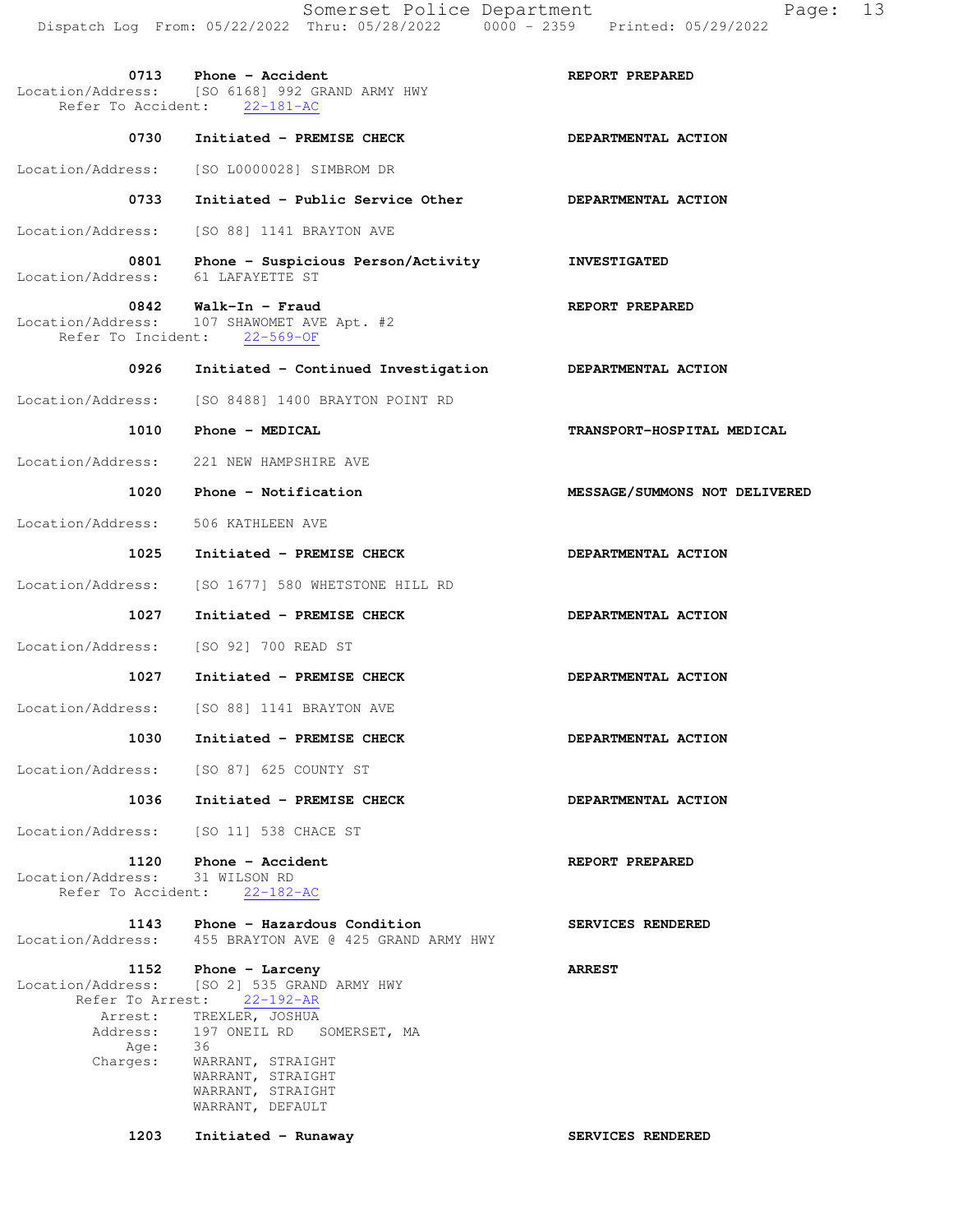|                                                                              | 0713 Phone - Accident<br>Location/Address: [SO 6168] 992 GRAND ARMY HWY<br>Refer To Accident: 22-181-AC                                                                                                                                    | REPORT PREPARED                    |
|------------------------------------------------------------------------------|--------------------------------------------------------------------------------------------------------------------------------------------------------------------------------------------------------------------------------------------|------------------------------------|
| 0730                                                                         | Initiated - PREMISE CHECK                                                                                                                                                                                                                  | DEPARTMENTAL ACTION                |
|                                                                              | Location/Address: [SO L0000028] SIMBROM DR                                                                                                                                                                                                 |                                    |
| 0733                                                                         | Initiated - Public Service Other                                                                                                                                                                                                           | DEPARTMENTAL ACTION                |
|                                                                              | Location/Address: [SO 88] 1141 BRAYTON AVE                                                                                                                                                                                                 |                                    |
| 0801<br>Location/Address:                                                    | Phone - Suspicious Person/Activity<br>61 LAFAYETTE ST                                                                                                                                                                                      | <b>INVESTIGATED</b>                |
|                                                                              | 0842 Walk-In - Fraud<br>Location/Address: 107 SHAWOMET AVE Apt. #2<br>Refer To Incident: 22-569-OF                                                                                                                                         | REPORT PREPARED                    |
| 0926                                                                         | Initiated - Continued Investigation                                                                                                                                                                                                        | DEPARTMENTAL ACTION                |
|                                                                              | Location/Address: [SO 8488] 1400 BRAYTON POINT RD                                                                                                                                                                                          |                                    |
|                                                                              | 1010 Phone - MEDICAL                                                                                                                                                                                                                       | TRANSPORT-HOSPITAL MEDICAL         |
|                                                                              | Location/Address: 221 NEW HAMPSHIRE AVE                                                                                                                                                                                                    |                                    |
| 1020                                                                         | Phone - Notification                                                                                                                                                                                                                       | MESSAGE/SUMMONS NOT DELIVERED      |
| Location/Address: 506 KATHLEEN AVE                                           |                                                                                                                                                                                                                                            |                                    |
| 1025                                                                         | Initiated - PREMISE CHECK                                                                                                                                                                                                                  | DEPARTMENTAL ACTION                |
| Location/Address:                                                            | [SO 1677] 580 WHETSTONE HILL RD                                                                                                                                                                                                            |                                    |
| 1027                                                                         | Initiated - PREMISE CHECK                                                                                                                                                                                                                  | DEPARTMENTAL ACTION                |
| Location/Address:                                                            | [SO 92] 700 READ ST                                                                                                                                                                                                                        |                                    |
| 1027                                                                         | Initiated - PREMISE CHECK                                                                                                                                                                                                                  | DEPARTMENTAL ACTION                |
|                                                                              | Location/Address: [SO 88] 1141 BRAYTON AVE                                                                                                                                                                                                 |                                    |
| 1030                                                                         | Initiated - PREMISE CHECK                                                                                                                                                                                                                  | DEPARTMENTAL ACTION                |
|                                                                              | Location/Address: [SO 87] 625 COUNTY ST                                                                                                                                                                                                    |                                    |
| 1036                                                                         | Initiated - PREMISE CHECK                                                                                                                                                                                                                  | DEPARTMENTAL ACTION                |
|                                                                              | Location/Address: [SO 11] 538 CHACE ST                                                                                                                                                                                                     |                                    |
| 1120<br>Location/Address: 31 WILSON RD<br>Refer To Accident:                 | Phone - Accident<br>$22 - 182 - AC$                                                                                                                                                                                                        | REPORT PREPARED                    |
| 1143<br>Location/Address:                                                    | Phone - Hazardous Condition<br>455 BRAYTON AVE @ 425 GRAND ARMY HWY                                                                                                                                                                        | SERVICES RENDERED                  |
| 1152<br>Location/Address:<br>Arrest:<br>Address:<br>Age:<br>Charges:<br>1203 | Phone - Larceny<br>[SO 2] 535 GRAND ARMY HWY<br>Refer To Arrest: 22-192-AR<br>TREXLER, JOSHUA<br>197 ONEIL RD SOMERSET, MA<br>36<br>WARRANT, STRAIGHT<br>WARRANT, STRAIGHT<br>WARRANT, STRAIGHT<br>WARRANT, DEFAULT<br>Initiated - Runaway | <b>ARREST</b><br>SERVICES RENDERED |
|                                                                              |                                                                                                                                                                                                                                            |                                    |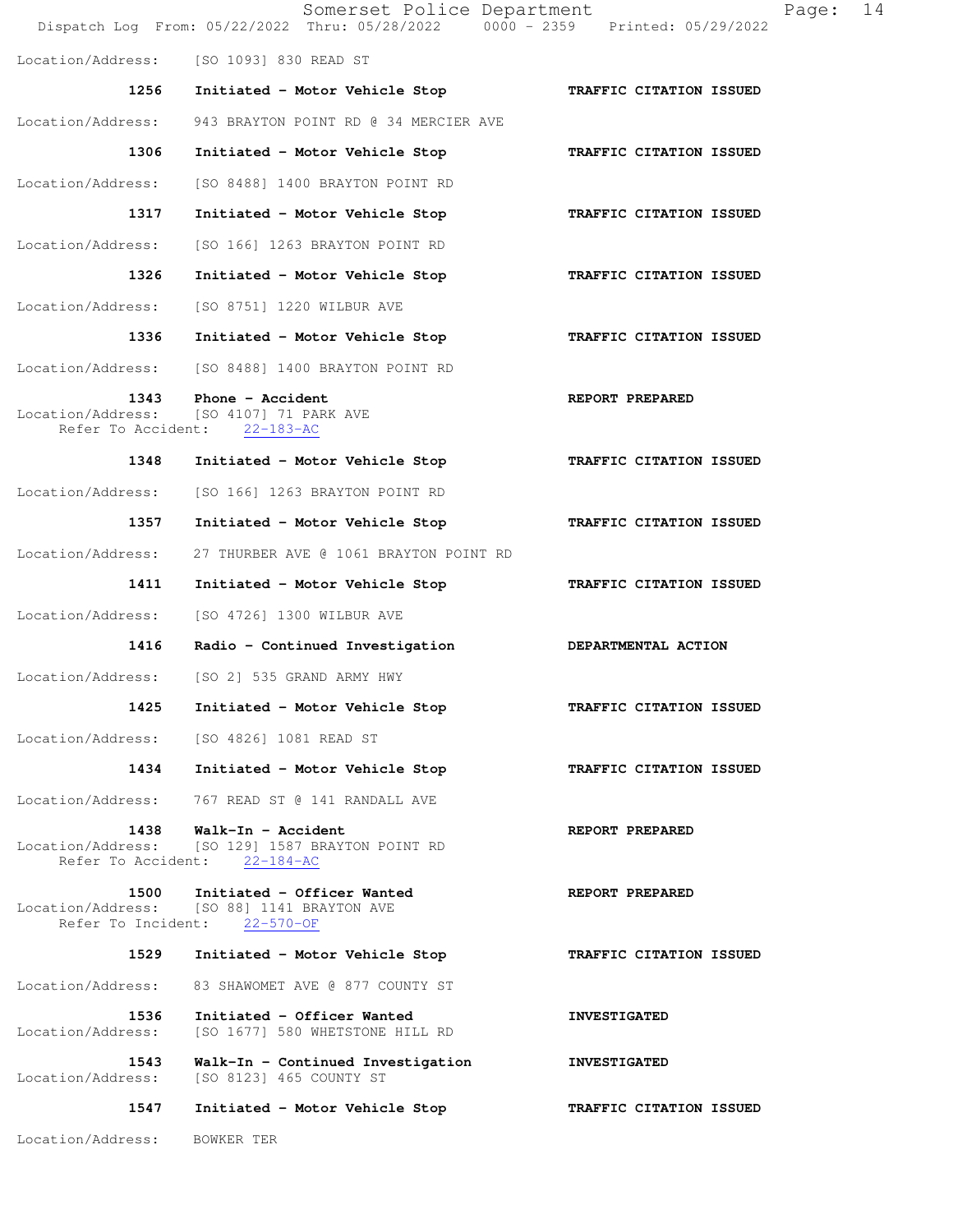|                                                 | Somerset Police Department<br>Dispatch Log From: 05/22/2022 Thru: 05/28/2022 0000 - 2359 Printed: 05/29/2022 | 14<br>Page:             |
|-------------------------------------------------|--------------------------------------------------------------------------------------------------------------|-------------------------|
| Location/Address:                               | [SO 1093] 830 READ ST                                                                                        |                         |
| 1256                                            | Initiated - Motor Vehicle Stop                                                                               | TRAFFIC CITATION ISSUED |
| Location/Address:                               | 943 BRAYTON POINT RD @ 34 MERCIER AVE                                                                        |                         |
| 1306                                            | Initiated - Motor Vehicle Stop                                                                               | TRAFFIC CITATION ISSUED |
| Location/Address:                               | [SO 8488] 1400 BRAYTON POINT RD                                                                              |                         |
| 1317                                            | Initiated - Motor Vehicle Stop                                                                               | TRAFFIC CITATION ISSUED |
| Location/Address:                               | [SO 166] 1263 BRAYTON POINT RD                                                                               |                         |
| 1326                                            | Initiated - Motor Vehicle Stop                                                                               | TRAFFIC CITATION ISSUED |
| Location/Address:                               | [SO 8751] 1220 WILBUR AVE                                                                                    |                         |
| 1336                                            | Initiated - Motor Vehicle Stop                                                                               | TRAFFIC CITATION ISSUED |
| Location/Address:                               | [SO 8488] 1400 BRAYTON POINT RD                                                                              |                         |
| 1343                                            | Phone - Accident<br>Location/Address: [SO 4107] 71 PARK AVE<br>Refer To Accident: 22-183-AC                  | REPORT PREPARED         |
| 1348                                            | Initiated - Motor Vehicle Stop                                                                               | TRAFFIC CITATION ISSUED |
| Location/Address:                               | [SO 166] 1263 BRAYTON POINT RD                                                                               |                         |
| 1357                                            | Initiated - Motor Vehicle Stop                                                                               | TRAFFIC CITATION ISSUED |
| Location/Address:                               | 27 THURBER AVE @ 1061 BRAYTON POINT RD                                                                       |                         |
| 1411                                            | Initiated - Motor Vehicle Stop                                                                               | TRAFFIC CITATION ISSUED |
| Location/Address:                               | [SO 4726] 1300 WILBUR AVE                                                                                    |                         |
| 1416                                            | Radio - Continued Investigation                                                                              | DEPARTMENTAL ACTION     |
| Location/Address:                               | [SO 2] 535 GRAND ARMY HWY                                                                                    |                         |
| 1425                                            | Initiated - Motor Vehicle Stop                                                                               | TRAFFIC CITATION ISSUED |
| Location/Address:                               | [SO 4826] 1081 READ ST                                                                                       |                         |
| 1434                                            | Initiated - Motor Vehicle Stop                                                                               | TRAFFIC CITATION ISSUED |
| Location/Address:                               | 767 READ ST @ 141 RANDALL AVE                                                                                |                         |
| 1438<br>Location/Address:<br>Refer To Accident: | Walk-In - Accident<br>[SO 129] 1587 BRAYTON POINT RD<br>$22 - 184 - AC$                                      | REPORT PREPARED         |
| 1500                                            | Initiated - Officer Wanted<br>Location/Address: [SO 88] 1141 BRAYTON AVE<br>Refer To Incident: 22-570-OF     | REPORT PREPARED         |
| 1529                                            | Initiated - Motor Vehicle Stop                                                                               | TRAFFIC CITATION ISSUED |
| Location/Address:                               | 83 SHAWOMET AVE @ 877 COUNTY ST                                                                              |                         |
| 1536<br>Location/Address:                       | Initiated - Officer Wanted<br>[SO 1677] 580 WHETSTONE HILL RD                                                | <b>INVESTIGATED</b>     |
| 1543<br>Location/Address:                       | Walk-In - Continued Investigation<br>[SO 8123] 465 COUNTY ST                                                 | <b>INVESTIGATED</b>     |
| 1547                                            | Initiated - Motor Vehicle Stop                                                                               | TRAFFIC CITATION ISSUED |
| Location/Address:                               | BOWKER TER                                                                                                   |                         |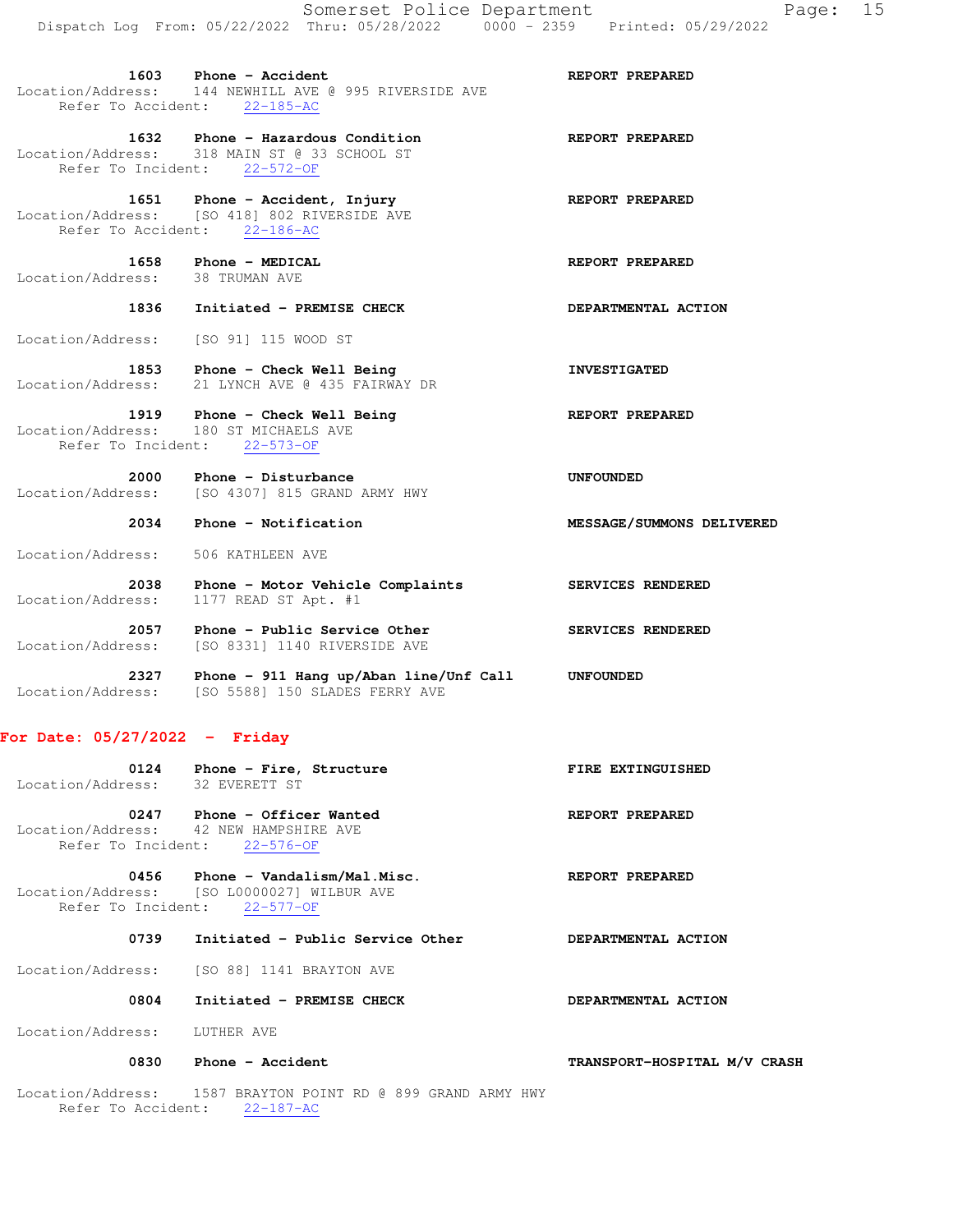1632 Phone - Hazardous Condition **REPORT PREPARED** Location/Address: 318 MAIN ST @ 33 SCHOOL ST Refer To Incident: 22-572-OF

1651 Phone - Accident, Injury **REPORT PREPARED**  Location/Address: [SO 418] 802 RIVERSIDE AVE Refer To Accident: 22-186-AC

**1658 Phone - MEDICAL REPORT PREPARED REPORT PREPARED**<br>cess: 38 TRUMAN AVE Location/Address:

Refer To Accident: 22-185-AC

# **1836 Initiated - PREMISE CHECK DEPARTMENTAL ACTION**

Location/Address: [SO 91] 115 WOOD ST

1853 Phone - Check Well Being **INVESTIGATED** Location/Address: 21 LYNCH AVE @ 435 FAIRWAY DR

### 1919 Phone - Check Well Being **REPORT PREPARED**  Location/Address: 180 ST MICHAELS AVE Refer To Incident: 22-573-OF

- **2000** Phone Disturbance **Example 2000** DNFOUNDED Location/Address: [SO 4307] 815 GRAND ARMY HWY
	- **2034 Phone Notification MESSAGE/SUMMONS DELIVERED**

Location/Address: 506 KATHLEEN AVE

- **2038 Phone Motor Vehicle Complaints SERVICES RENDERED**  Location/Address: 1177 READ ST Apt. #1
- 2057 Phone Public Service Other **SERVICES RENDERED** Location/Address: [SO 8331] 1140 RIVERSIDE AVE
- **2327 Phone 911 Hang up/Aban line/Unf Call UNFOUNDED**  Location/Address: [SO 5588] 150 SLADES FERRY AVE

## **For Date: 05/27/2022 - Friday**

| 0124<br>Location/Address: | Phone - Fire, Structure<br>32 EVERETT ST | FIRE EXTINGUISHED |
|---------------------------|------------------------------------------|-------------------|
| 0247                      | Phone - Officer Wanted                   | REPORT PREPARED   |

 Location/Address: 42 NEW HAMPSHIRE AVE Refer To Incident: 22-576-OF

0456 Phone - Vandalism/Mal.Misc. **REPORT PREPARED**  Location/Address: [SO L0000027] WILBUR AVE Refer To Incident: 22-577-OF

## 0739 Initiated - Public Service Other **DEPARTMENTAL ACTION**

Location/Address: [SO 88] 1141 BRAYTON AVE

### 0804 Initiated - PREMISE CHECK **DEPARTMENTAL ACTION**

Location/Address: LUTHER AVE

## 0830 Phone - Accident **TRANSPORT-HOSPITAL M/V CRASH**

 Location/Address: 1587 BRAYTON POINT RD @ 899 GRAND ARMY HWY Refer To Accident: 22-187-AC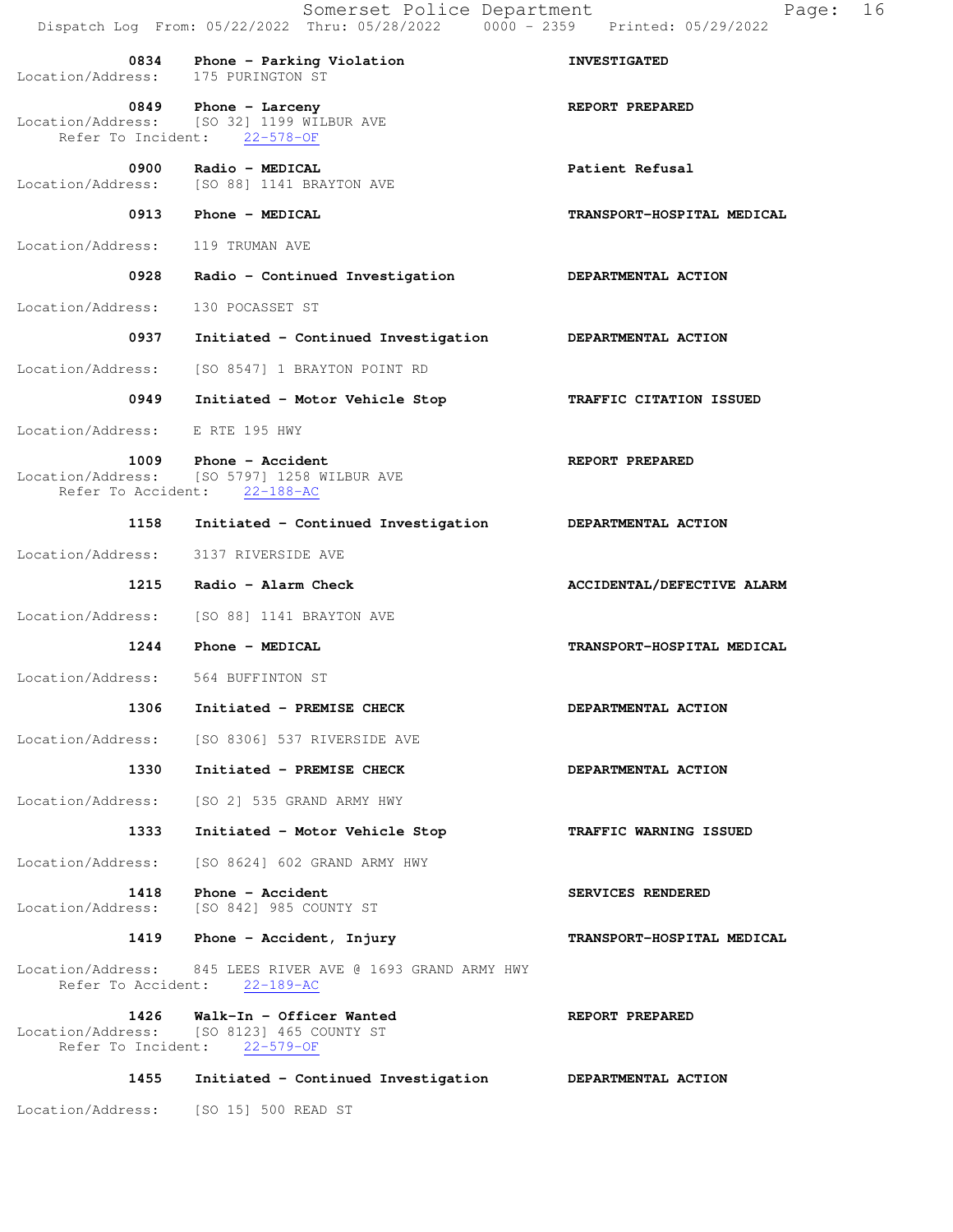| 0834<br>Location/Address:       | Phone - Parking Violation<br>175 PURINGTON ST                                                        | <b>INVESTIGATED</b>        |
|---------------------------------|------------------------------------------------------------------------------------------------------|----------------------------|
| 0849                            | Phone - Larceny<br>Location/Address: [SO 32] 1199 WILBUR AVE<br>Refer To Incident: 22-578-OF         | REPORT PREPARED            |
| 0900                            | Radio - MEDICAL<br>Location/Address: [SO 88] 1141 BRAYTON AVE                                        | Patient Refusal            |
| 0913                            | Phone - MEDICAL                                                                                      | TRANSPORT-HOSPITAL MEDICAL |
| Location/Address:               | 119 TRUMAN AVE                                                                                       |                            |
| 0928                            | Radio - Continued Investigation                                                                      | DEPARTMENTAL ACTION        |
| Location/Address:               | 130 POCASSET ST                                                                                      |                            |
| 0937                            | Initiated - Continued Investigation DEPARTMENTAL ACTION                                              |                            |
| Location/Address:               | [SO 8547] 1 BRAYTON POINT RD                                                                         |                            |
| 0949                            | Initiated - Motor Vehicle Stop                                                                       | TRAFFIC CITATION ISSUED    |
| Location/Address: E RTE 195 HWY |                                                                                                      |                            |
|                                 | 1009 Phone - Accident<br>Location/Address: [SO 5797] 1258 WILBUR AVE<br>Refer To Accident: 22-188-AC | REPORT PREPARED            |
| 1158                            | Initiated - Continued Investigation                                                                  | DEPARTMENTAL ACTION        |
| Location/Address:               | 3137 RIVERSIDE AVE                                                                                   |                            |
| 1215                            | Radio - Alarm Check                                                                                  | ACCIDENTAL/DEFECTIVE ALARM |
| Location/Address:               | [SO 88] 1141 BRAYTON AVE                                                                             |                            |
| 1244                            | Phone - MEDICAL                                                                                      | TRANSPORT-HOSPITAL MEDICAL |
| Location/Address:               | 564 BUFFINTON ST                                                                                     |                            |
| 1306                            | Initiated - PREMISE CHECK                                                                            | DEPARTMENTAL ACTION        |
| Location/Address:               | [SO 8306] 537 RIVERSIDE AVE                                                                          |                            |
| 1330                            | Initiated - PREMISE CHECK                                                                            | DEPARTMENTAL ACTION        |
|                                 | Location/Address: [SO 2] 535 GRAND ARMY HWY                                                          |                            |
| 1333                            | Initiated - Motor Vehicle Stop                                                                       | TRAFFIC WARNING ISSUED     |
| Location/Address:               | [SO 8624] 602 GRAND ARMY HWY                                                                         |                            |
| 1418<br>Location/Address:       | Phone - Accident<br>[SO 842] 985 COUNTY ST                                                           | SERVICES RENDERED          |
| 1419                            | Phone - Accident, Injury                                                                             | TRANSPORT-HOSPITAL MEDICAL |
|                                 | Location/Address: 845 LEES RIVER AVE @ 1693 GRAND ARMY HWY<br>Refer To Accident: 22-189-AC           |                            |
| 1426<br>Refer To Incident:      | Walk-In - Officer Wanted<br>Location/Address: [SO 8123] 465 COUNTY ST<br>$22 - 579 - OF$             | REPORT PREPARED            |
| 1455                            | Initiated - Continued Investigation                                                                  | DEPARTMENTAL ACTION        |

Location/Address: [SO 15] 500 READ ST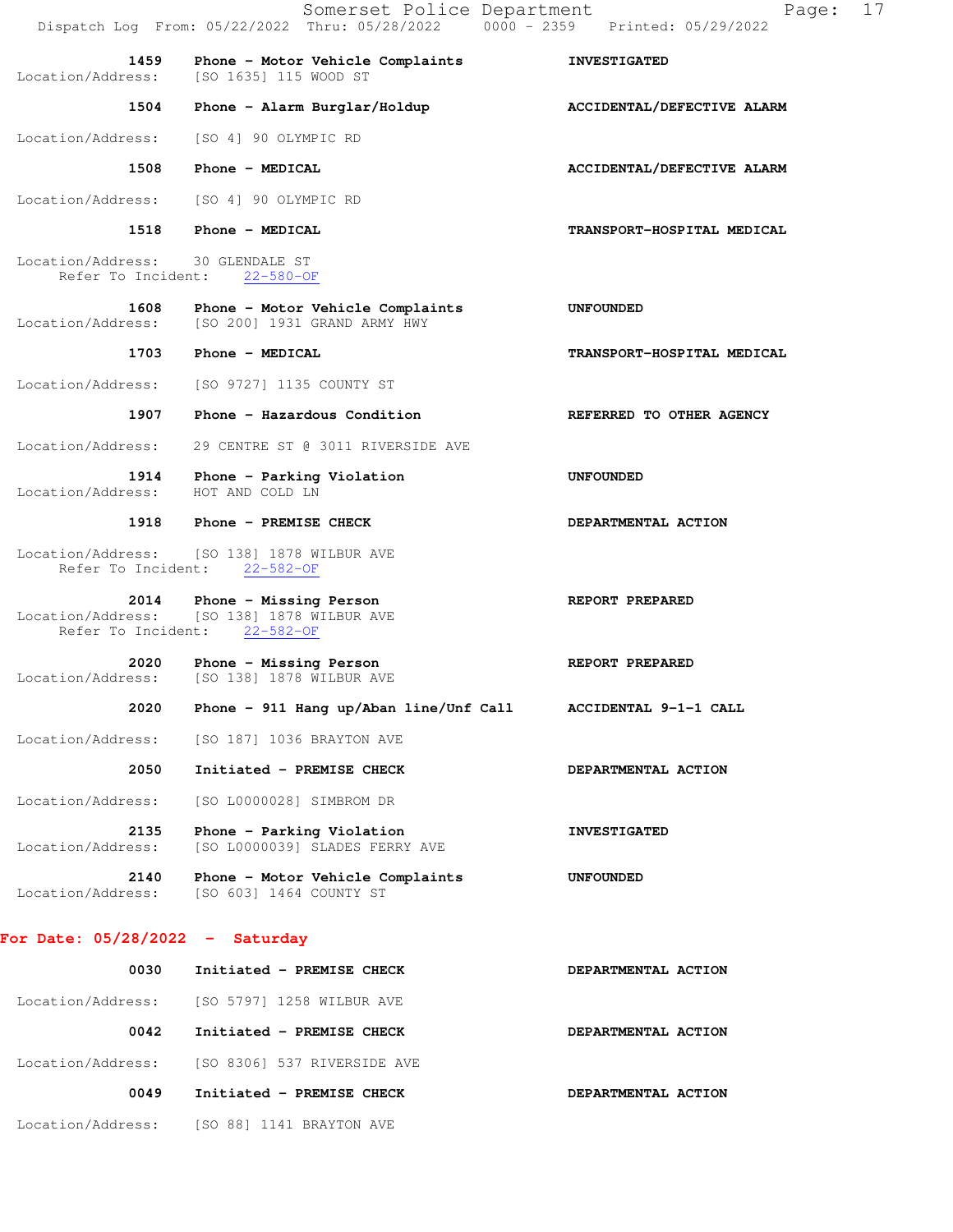|                                                        | Somerset Police Department<br>Dispatch Log From: 05/22/2022 Thru: 05/28/2022 0000 - 2359 Printed: 05/29/2022 | 17<br>Page:                |  |  |
|--------------------------------------------------------|--------------------------------------------------------------------------------------------------------------|----------------------------|--|--|
| 1459<br>Location/Address:                              | Phone - Motor Vehicle Complaints<br>ISO 16351 115 WOOD ST                                                    | <b>INVESTIGATED</b>        |  |  |
| 1504                                                   | Phone - Alarm Burglar/Holdup                                                                                 | ACCIDENTAL/DEFECTIVE ALARM |  |  |
| Location/Address:                                      | [SO 4] 90 OLYMPIC RD                                                                                         |                            |  |  |
| 1508                                                   | Phone - MEDICAL                                                                                              | ACCIDENTAL/DEFECTIVE ALARM |  |  |
| Location/Address:                                      | [SO 4] 90 OLYMPIC RD                                                                                         |                            |  |  |
| 1518                                                   | Phone - MEDICAL                                                                                              | TRANSPORT-HOSPITAL MEDICAL |  |  |
| Location/Address: 30 GLENDALE ST<br>Refer To Incident: | $22 - 580 - OF$                                                                                              |                            |  |  |
| 1608<br>Location/Address:                              | Phone - Motor Vehicle Complaints<br>[SO 200] 1931 GRAND ARMY HWY                                             | UNFOUNDED                  |  |  |
| 1703                                                   | Phone - MEDICAL                                                                                              | TRANSPORT-HOSPITAL MEDICAL |  |  |
| Location/Address:                                      | [SO 9727] 1135 COUNTY ST                                                                                     |                            |  |  |
| 1907                                                   | Phone - Hazardous Condition                                                                                  | REFERRED TO OTHER AGENCY   |  |  |
| Location/Address:                                      | 29 CENTRE ST @ 3011 RIVERSIDE AVE                                                                            |                            |  |  |
| 1914<br>Location/Address:                              | Phone - Parking Violation<br>HOT AND COLD LN                                                                 | UNFOUNDED                  |  |  |
|                                                        | 1918 Phone - PREMISE CHECK                                                                                   | DEPARTMENTAL ACTION        |  |  |
| Refer To Incident:                                     | Location/Address: [SO 138] 1878 WILBUR AVE<br>$22 - 582 - 0F$                                                |                            |  |  |
| 2014                                                   | Phone - Missing Person<br>Location/Address: [SO 138] 1878 WILBUR AVE<br>Refer To Incident: 22-582-OF         | REPORT PREPARED            |  |  |
| 2020<br>Location/Address:                              | Phone - Missing Person<br>[SO 138] 1878 WILBUR AVE                                                           | REPORT PREPARED            |  |  |
| 2020                                                   | Phone - 911 Hang up/Aban line/Unf Call                                                                       | ACCIDENTAL 9-1-1 CALL      |  |  |
| Location/Address:                                      | [SO 187] 1036 BRAYTON AVE                                                                                    |                            |  |  |
| 2050                                                   | Initiated - PREMISE CHECK                                                                                    | DEPARTMENTAL ACTION        |  |  |
| Location/Address:                                      | [SO L0000028] SIMBROM DR                                                                                     |                            |  |  |
| 2135<br>Location/Address:                              | Phone - Parking Violation<br>[SO L0000039] SLADES FERRY AVE                                                  | <b>INVESTIGATED</b>        |  |  |
| 2140<br>Location/Address:                              | Phone - Motor Vehicle Complaints<br>[SO 603] 1464 COUNTY ST                                                  | <b>UNFOUNDED</b>           |  |  |
| For Date: $05/28/2022 -$ Saturday                      |                                                                                                              |                            |  |  |
| 0030                                                   | Initiated - PREMISE CHECK                                                                                    | DEPARTMENTAL ACTION        |  |  |
| Location/Address:                                      | [SO 5797] 1258 WILBUR AVE                                                                                    |                            |  |  |
| 0042                                                   | Initiated - PREMISE CHECK                                                                                    | DEPARTMENTAL ACTION        |  |  |
| Location/Address:                                      | [SO 8306] 537 RIVERSIDE AVE                                                                                  |                            |  |  |
| 0049                                                   | Initiated - PREMISE CHECK                                                                                    | DEPARTMENTAL ACTION        |  |  |

Location/Address: [SO 88] 1141 BRAYTON AVE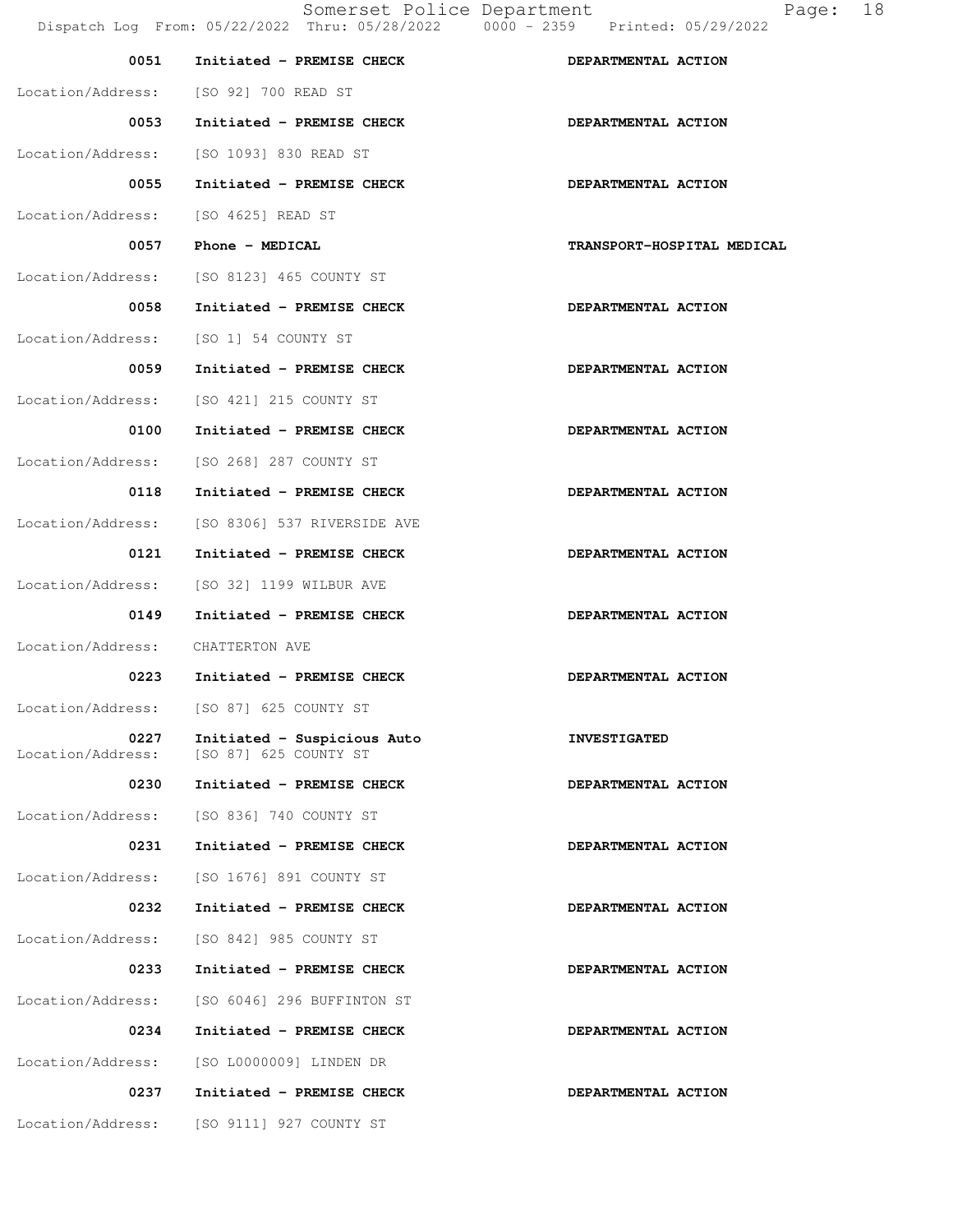| 0051                                | Initiated - PREMISE CHECK                                              | DEPARTMENTAL ACTION        |
|-------------------------------------|------------------------------------------------------------------------|----------------------------|
|                                     | Location/Address: [SO 92] 700 READ ST                                  |                            |
| 0053                                | Initiated - PREMISE CHECK                                              | DEPARTMENTAL ACTION        |
|                                     | Location/Address: [SO 1093] 830 READ ST                                |                            |
| 0055                                | Initiated - PREMISE CHECK                                              | DEPARTMENTAL ACTION        |
| Location/Address: [SO 4625] READ ST |                                                                        |                            |
| 0057                                | Phone - MEDICAL                                                        | TRANSPORT-HOSPITAL MEDICAL |
|                                     | Location/Address: [SO 8123] 465 COUNTY ST                              |                            |
| 0058                                | Initiated - PREMISE CHECK                                              | DEPARTMENTAL ACTION        |
|                                     | Location/Address: [SO 1] 54 COUNTY ST                                  |                            |
| 0059                                | Initiated - PREMISE CHECK                                              | DEPARTMENTAL ACTION        |
|                                     | Location/Address: [SO 421] 215 COUNTY ST                               |                            |
| 0100                                | Initiated - PREMISE CHECK                                              | DEPARTMENTAL ACTION        |
|                                     | Location/Address: [SO 268] 287 COUNTY ST                               |                            |
| 0118                                | Initiated - PREMISE CHECK                                              | DEPARTMENTAL ACTION        |
|                                     | Location/Address: [SO 8306] 537 RIVERSIDE AVE                          |                            |
| 0121                                | Initiated - PREMISE CHECK                                              | DEPARTMENTAL ACTION        |
|                                     | Location/Address: [SO 32] 1199 WILBUR AVE                              |                            |
| 0149                                | Initiated - PREMISE CHECK                                              | DEPARTMENTAL ACTION        |
| Location/Address: CHATTERTON AVE    |                                                                        |                            |
| 0223                                | Initiated - PREMISE CHECK                                              | DEPARTMENTAL ACTION        |
|                                     | Location/Address: [SO 87] 625 COUNTY ST                                |                            |
| 0227                                | Initiated - Suspicious Auto<br>Location/Address: [SO 87] 625 COUNTY ST | <b>INVESTIGATED</b>        |
| 0230                                | Initiated - PREMISE CHECK                                              | DEPARTMENTAL ACTION        |
|                                     | Location/Address: [SO 836] 740 COUNTY ST                               |                            |
| 0231                                | Initiated - PREMISE CHECK                                              | DEPARTMENTAL ACTION        |
|                                     | Location/Address: [SO 1676] 891 COUNTY ST                              |                            |
| 0232                                | Initiated - PREMISE CHECK                                              | DEPARTMENTAL ACTION        |
|                                     | Location/Address: [SO 842] 985 COUNTY ST                               |                            |
| 0233                                | Initiated - PREMISE CHECK                                              | DEPARTMENTAL ACTION        |
|                                     | Location/Address: [SO 6046] 296 BUFFINTON ST                           |                            |
| 0234                                | Initiated - PREMISE CHECK                                              | DEPARTMENTAL ACTION        |
|                                     | Location/Address: [SO L0000009] LINDEN DR                              |                            |
| 0237                                | Initiated - PREMISE CHECK                                              | DEPARTMENTAL ACTION        |
| Location/Address:                   | [SO 9111] 927 COUNTY ST                                                |                            |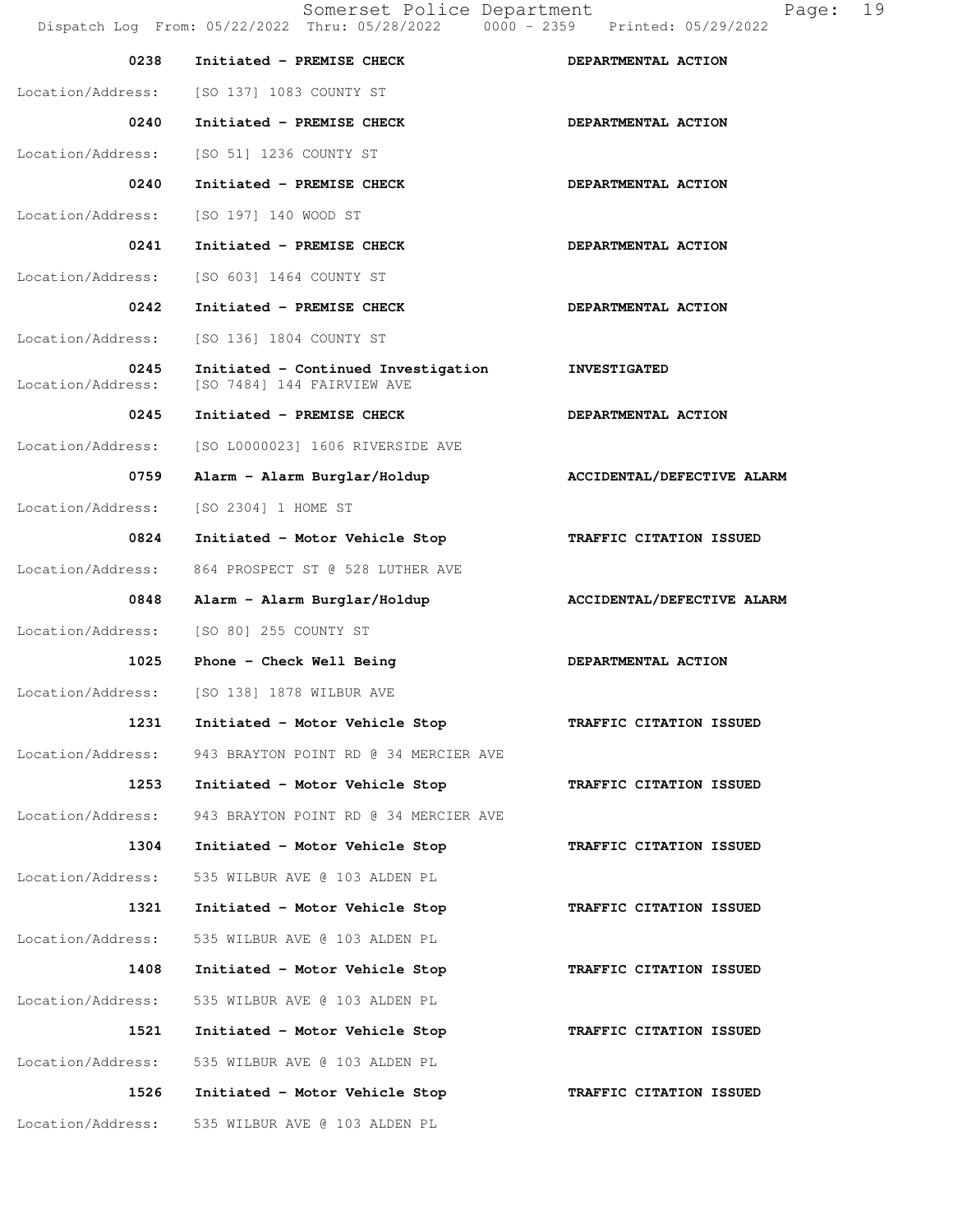Somerset Police Department Page: 19 Dispatch Log From: 05/22/2022 Thru: 05/28/2022 0000 - 2359 Printed: 05/29/2022 0238 Initiated - PREMISE CHECK **DEPARTMENTAL ACTION**  Location/Address: [SO 137] 1083 COUNTY ST 0240 Initiated - PREMISE CHECK **DEPARTMENTAL ACTION**  Location/Address: [SO 51] 1236 COUNTY ST 0240 Initiated - PREMISE CHECK **DEPARTMENTAL ACTION** Location/Address: [SO 197] 140 WOOD ST 0241 Initiated - PREMISE CHECK **DEPARTMENTAL ACTION** Location/Address: [SO 603] 1464 COUNTY ST 0242 Initiated - PREMISE CHECK **DEPARTMENTAL ACTION**  Location/Address: [SO 136] 1804 COUNTY ST  **0245 Initiated - Continued Investigation INVESTIGATED**  Location/Address: [SO 7484] 144 FAIRVIEW AVE 0245 Initiated - PREMISE CHECK **DEPARTMENTAL ACTION**  Location/Address: [SO L0000023] 1606 RIVERSIDE AVE 0759 Alarm - Alarm Burglar/Holdup **ACCIDENTAL/DEFECTIVE ALARM**  Location/Address: [SO 2304] 1 HOME ST  **0824 Initiated - Motor Vehicle Stop TRAFFIC CITATION ISSUED**  Location/Address: 864 PROSPECT ST @ 528 LUTHER AVE 0848 Alarm - Alarm Burglar/Holdup **ACCIDENTAL/DEFECTIVE ALARM**  Location/Address: [SO 80] 255 COUNTY ST 1025 Phone - Check Well Being **DEPARTMENTAL ACTION**  Location/Address: [SO 138] 1878 WILBUR AVE  **1231 Initiated - Motor Vehicle Stop TRAFFIC CITATION ISSUED**  Location/Address: 943 BRAYTON POINT RD @ 34 MERCIER AVE  **1253 Initiated - Motor Vehicle Stop TRAFFIC CITATION ISSUED**  Location/Address: 943 BRAYTON POINT RD @ 34 MERCIER AVE  **1304 Initiated - Motor Vehicle Stop TRAFFIC CITATION ISSUED**  Location/Address: 535 WILBUR AVE @ 103 ALDEN PL  **1321 Initiated - Motor Vehicle Stop TRAFFIC CITATION ISSUED**  Location/Address: 535 WILBUR AVE @ 103 ALDEN PL  **1408 Initiated - Motor Vehicle Stop TRAFFIC CITATION ISSUED**  Location/Address: 535 WILBUR AVE @ 103 ALDEN PL  **1521 Initiated - Motor Vehicle Stop TRAFFIC CITATION ISSUED**  Location/Address: 535 WILBUR AVE @ 103 ALDEN PL  **1526 Initiated - Motor Vehicle Stop TRAFFIC CITATION ISSUED**  Location/Address: 535 WILBUR AVE @ 103 ALDEN PL